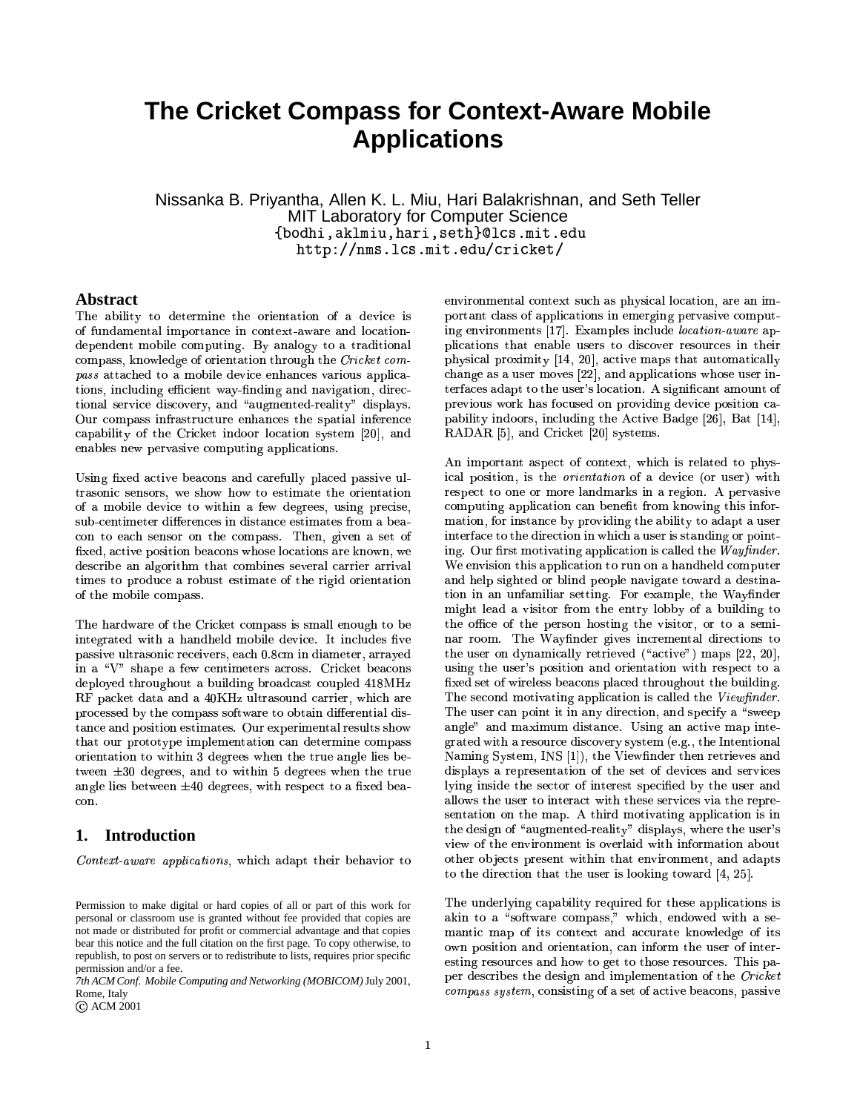# **The Cricket Compass for Context-Aware Mobile Applications**

Nissanka B. Priyantha, Allen K. L. Miu, Hari Balakrishnan, and Seth Teller  $-$  . And the set of the set of the set of the set of the set of the set of the set of the set of the set of the set of the set of the set of the set of the set of the set of the set of the set of the set of the set of th MIT Laboratory for Computer Science http://nms.lcs.mit.edu/cricket/

#### Abstract

The ability to determine the orientation of a device is of fundamental importance in context-aware and locationdependent mobile computing. By analogy to a traditional  $\frac{1}{200}$  and  $\frac{1}{200}$  and  $\frac{1}{200}$  of  $\frac{1}{200}$  and  $\frac{1}{200}$  and  $\frac{1}{200}$  and  $\frac{1}{200}$  and  $\frac{1}{200}$  and  $\frac{1}{200}$  and  $\frac{1}{200}$  and  $\frac{1}{200}$  and  $\frac{1}{200}$  and  $\frac{1}{200}$  and  $\frac{1}{200}$  an tions, including efficient way-finding and navigation, directional service discovery, and "augmented-reality" displays. Our compass infrastructure enhances the spatial inferenc capability of the Cricket indoor location system [20], and enables new pervasive computing applications.

Using fixed active beacons and carefully placed passive u trasonic sensors, we show how to estimate the orientation of a mobile device to within a few degrees, using precise, sub-centimeter differences in distance estimates from a beacon to each sensor on the compass. Then, given a set of fixed, active position beacons whose locations are known, we describe an algorithm that combines several carrier arrival FSWAG7>8MNF0<>=@?@8\TFMN`>:0]a]Tj of the mobile compass.

The hardware of the Cricket compass is small enough to be integrated with a handheld mobile device. It includes five passive ultrasonic receivers, each 0.8cm in diameter, arrayed in a "V" shape a few centimeters across. Cricket beacons deployed throughout a building broadcast coupled 418MHz  $\operatorname{RF}$  packet data and a 40KHz ultrasound carrier, which are  $p_1$ ocoboca o ji vilo compabo bole maro eo o oedam chierar chi  $\tance$  and position estimates. Our experimental results shov that our prototype implementation can determine compass orientation to within 3 degrees when the true angle lies between  $\pm 30$  degrees, and to within 5 degrees when the true  $\cup$  .  $\cup$  . con.

# **1. Introduction**

 $\sim$ 

*7th ACM Conf. Mobile Computing and Networking (MOBICOM)*July 2001, Rome, Italy

ACM 2001

portuant chapp of applications in chicrena portugally con- $\frac{1}{2}$  choing  $\frac{1}{2}$  as a discrete  $\frac{1}{2}$  and  $\frac{1}{2}$  and  $\frac{1}{2}$  approximate  $\frac{1}{2}$  and  $\frac{1}{2}$  $\sum_{i=1}^{\infty}$ environmental context such as physical location, are an im- $\frac{1}{2}$  environments [17]. Examples include *location-aware* approximately `>7UC
]a=@\h:0?-`9KGFhd
=@MN=@AfCmB¥J¤9n5SSvn5:0\JAG=@Zp8Mb:S`>]AG7:+A:S^9AGFMb:+AG=@\h:0?@?BC $\{711.7\,111.7\,111.7\}\,$ asika tagasi baradi baradi baradi baradi baradi baradi baradi baradi baradi baradi baradi b terfaces adapt to the user's location. A significant amount of DIVINGO HULB DWO IOCGOOG OU DIVINABLE GOTIOO DOORTOU OG ©

In important aspect of context, which is related to physical position, is the *orientation* of a device (or user) with =@\h:0?`F0]a=@AG=@F0O-y³tvz0¯mF0W:XH98JZ
=@\T8£»³F0KN^9]a8JKL¼g=BAG7respect to one or more landmarks in a region. A pervasive  $\frac{1}{2}$  computating application can be evident from anowing this inform  $_{\rm{m}}$  and  $_{\rm{m}}$  . Therefore, by providing the ability to adapt a die.  $_{\rm{1\,u}}$  , and the complete  $\mu$  in the complete  $\mu$  and  $\mu$  \h:0?@?@8hHAG7>8N¿~0ÀÁ¯ÂUxLs(j  $\mathbf{a}_{\mathbf{S}}$  our movement gapping the called the *Traggiugen*  $\sim$  0.1, hotel value application to run on a hamaloid compute and note experied of sinid people navigate toward a desting tion in an unfamiliar setting. For example, the Wavfinde  $\max_{\alpha}$  for  $\alpha$  and  $\alpha$  is a form  $\alpha$  and  $\alpha$  and  $\alpha$  and  $\alpha$  and  $\alpha$  and  $\alpha$  $\sum_{n=0}^{\infty}$   $\sum_{n=0}^{\infty}$   $\sum_{n=0}^{\infty}$   $\sum_{n=0}^{\infty}$   $\sum_{n=0}^{\infty}$   $\sum_{n=0}^{\infty}$   $\sum_{n=0}^{\infty}$  $\mathbf{a}_{\mathbf{a}}$  about the morning street control concerns to  $\mathbf{C}$  and  $\mathbf{C}$  as  $\mathbf{C}$  as a summatrix  $\mathbf{C}$  and  $\mathbf{C}$  and  $\mathbf{C}$  are  $\mathbf{C}$  and  $\mathbf{C}$ using the user's position and orientation with respect to a fixed set of wireless beacons placed throughout the building. The second motivating application is called the Viewfinder.  $\pm$ me door compositive in the only direction, only  $\infty$  is strongle. angle" and maximum distance. Using an active map inte-Stated with a resource discovery system (e.g.) the intentions  $\mathrm{Naming\; System.\;INS\,[1])}, \mathrm{\;the\; Viewfinder\; then\; retrieves\; and}$ applays a representation of the set of actives and settled lying inside the sector of interest specified by the user and allows the user to interact with these services via the repre- $\sim$  strategy of the model is the choice with while without  $\sim$  in  $\sim$ the design of "augmented-reality" displays, where the user's F0AG798JKF0<
ÉD8T\JAG]`9KG8J]a8TOUA g=BAG7>=@OAG7:SA 8TO[Z[=@KGF0O>MN8TOUAhn):SOH:H9:0`
AG]other objects present within that environment, and adapts to the direction that the user is looking toward  $[4, 25]$ .

:0o[=@OAGFc:D]aF0WADg:SKG8\TFMN`>:0]a]Tn cg7>=@\(7-n,8TOH
Fhg8hHg=@AG7:£]a8Leakin to a "software compass," which, endowed with a senimiton and bacton and the protection of the contraction of the contraction of the co own position and orientation, can inform the user of interesting resources and how to get to those resources. This pa per describes the design and imprementation or the error.

Permission to make digital or hard copies of all or part of this work for personal or classroom use is granted without fee provided that copies are not made or distributed for profit or commercial advantage and that copies bear this notice and the full citation on the first page. To copy otherwise, to republish, to post on servers or to redistribute to lists, requires prior specific permission and/or a fee.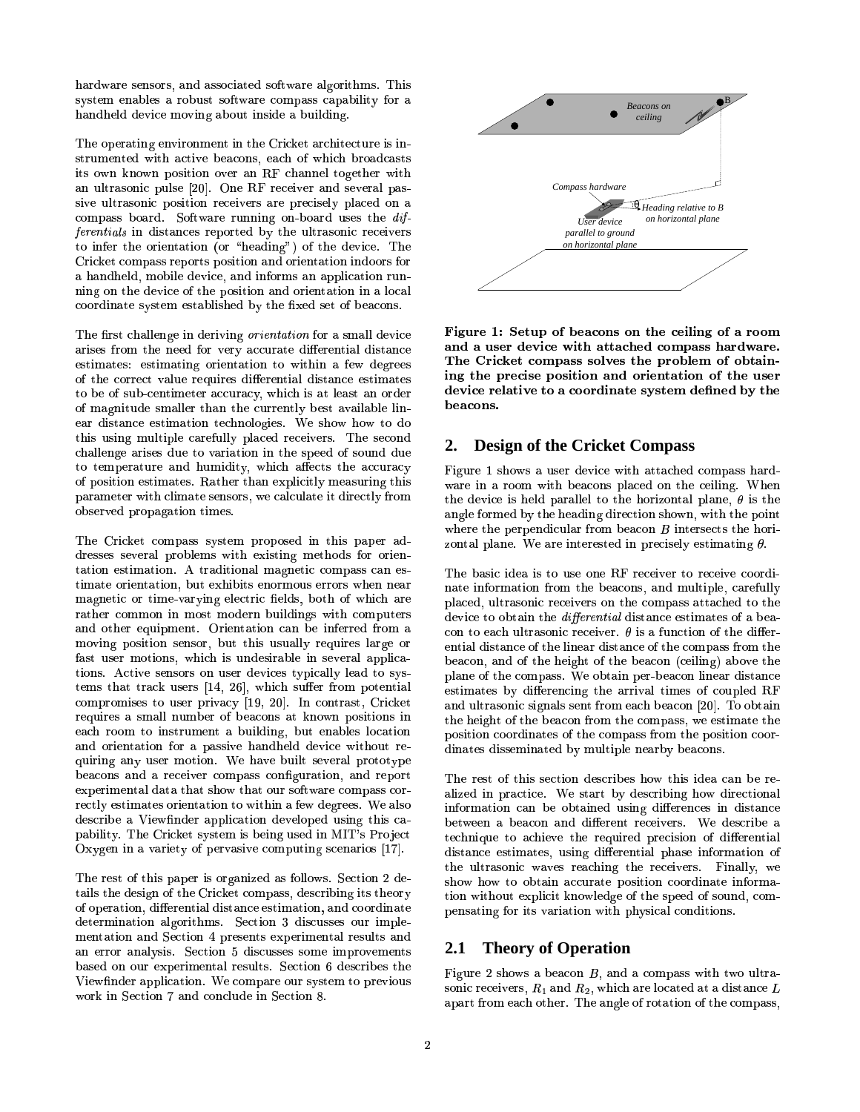$\mathbf{L}$ with  $\mathbf{u} \cup \mathbf{v}$  do those with the subsequence of  $\mathbf{v}$  and  $\mathbf{v}$  and  $\mathbf{v}$  and  $\mathbf{v}$ 7>:0O>H97>8J?HH98TZ[=@\T8MNF+Z[=@O>iq:0<F^
A=PO9]a=PH98:3<9^>=@?PH9=@O>i
j handheld device moving about inside a building.

The operating environment in the Cricket architecture is in- $\frac{1}{2}$ bagaan agaan agaan agaan agaan ah wiintii biyaayaasay its own known position over an RF channel together with an ultrasonic pulse [20]. One RF receiver and several pas  $\tilde{\mathcal{F}}$  and assume position receivers are precisely practed on a villews source solvaince running on source uses the wa *ferentials* in distances reported by the ultrasonic receiver to infer the orientation (or "heading") of the device. The Cricket compass reports position and orientation indoors for a handheld, mobile device, and informs an application running on the device of the position and orientation in a local coordinate system established by the fixed set of beacons.

The first challenge in deriving *orientation* for a small device  $\mathbf{F}$ <sup>1</sup> WINOO ILOIL VIO ISOG IOI TOLT GOOGLOVO GAINOLOING GIOVOLO estimates: estimating orientation to within a few degrees of the correct value requires differential distance estimates to be of sub-centimeter accuracy, which is at least an order 3T: Encogravado Singaro: Chon Cho Carronery Sost avanassio hii ear distance estimation technologies. We show how to do this using multiple carefully placed receivers. The second  $\overline{a}$ . challenge arises due to variation in the speed of sound due  $\sim$  will belong to all a fluintent in the allows the accuracy substance  $\sim$ of position estimates. Rather than explicitly measuring th F0<>]a8JKGZ8hH4`9KGF0`:Sip:SAG=@F0O4AG=@MN8T]Tj observed propagation times.

The Cricket compass system proposed in this paper ad-A(:+AG=@FOm8J]AG=PMb:+AG=@FO-j'¸IAaK(:0H9=BAG=@FO>:0?"Mb:0i0O>8JAG=@\'\TF0MN`:S]a]\h:0O£8T]e  $\mathcal{L}$  . The set of  $\mathcal{L}$  and  $\mathcal{L}$  are the set of  $\mathcal{L}$  . The set of  $\mathcal{L}$  is a set of  $\mathcal{L}$  . The set of  $\mathcal{L}$ timate orientation, but exhibits enormous errors when near magnetic or time-varying electric fields, both of which are raansi common in mosa mogerii bangineb with compe and other equipment. Orientation can be inferred from a  $\epsilon$ moving position sensor, but this usually requires large or fast user motions, which is undesirable in several applica- $\mathcal{L}$  . Sample  $\mathcal{L}$  . So  $\mathcal{L}$  as  $\mathcal{L}$  . The substitute  $\mathcal{L}$  and  $\mathcal{L}$  . The substitute  $\mathcal{L}$  and  $\mathcal{L}$  . The substitute  $\mathcal{L}$ tems that track users  $[14, 26]$ , which suffer from potential compromises to user privacy [19, 20]. In contrast, Cricket 8T:0\(7KGFUFM AGF£=@O>]AaKG^>MN8JO[A':£<9^>=@?PH9=@O>i
n<>^
AN8TO:S<>?@8T]N?@FU\h:+AG=PF0O each room to instrument a building, but enables location  $\frac{d}{dt}$  orientation for a passive nanumera device writious ie  $\frac{d}{dt}$ quiring any user motion. We have built several prototype beacons and a receiver compass configuration, and report experimental dutural dutural para virus our portra de compu  $\frac{1}{2}$   $\frac{1}{2}$   $\frac{1}{2}$ rectly estimates orientation to within a few degrees. We also `>:0<9=P?@=BADCUj%6798,KG=@\(op8JA]C
]AG8TME=@]<8T=@O>i^>]a8THb=@O4¦46 · ]KGFSÉD8T\JA pability. The Cricket system is being used in MIT's Project

The rest of this paper is organized as follows. Section 2 de-FSW>F0`8JK(:SAG=@F0O-nH9=B)8JKG8TOUAG=P:0?[H
=P]A(:SO>\T8,8T]AG=@Mb:SAG=@FO5n0:0OH\TFUFSK(H9=@O:+AG8of operation, differential distance estimation, and coordinate determination algorithms. Section 3 discusses our implementation and Section 4 presents experimental results and an error analysis. Section 5 discusses some improvements  $\frac{1}{2}$  $\pm$  10 m illige For OpenOusly in the collision of the proton work in Section 7 and conclude in Section 8.



The Cricket compass solves the problem of obtain- $\rm{device\; relative\;to\;a\; coordinate\; system\; defined\; by\; the}$ Figure 1: Setup of beacons on the ceiling of a room and a user device with attached compass hardware. ing the precise position and orientation of the user beacons.

### **2. Design of the Cricket Compass**

ware in a room with beacons biaced on the cening. When Figure 1 shows a user device with attached compass hard-:0O9i?@8W\_FSKGMN8hHq<UCAG7987>8h:0H9=@O>iH9=BKG8T\JAG=@FOq]a7>FhgO-n0g=BAG73AG7>8`F0=@O[Aangle formed by the heading direction shown, with the point whore the perpendicum nom season D intersects the north

The basic idea is to use one RF receiver to receive coordi- `>?P:S\T8hH5n^>?BAaK(:0]aF0O>=@\KG8T\T8T=@Zp8JKG]2FO4AG798\TFMN`>:0]a]:SAaA(:S\L798hH4AGF'AG7>8 piaced. ultrasonic receivers on the  $\text{F}_{\text{2}}^{\text{F}_{\text{2}}^{\text{F}_{\text{2}}}}$  and  $\text{F}_{\text{2}}^{\text{F}_{\text{2}}^{\text{F}_{\text{2}}}}$  and  $\text{F}_{\text{2}}^{\text{F}_{\text{2}}^{\text{F}_{\text{2}}}}$  and  $\text{F}_{\text{2}}^{\text{F}_{\text{2}}^{\text{F}_{\text{2}}}}$  and  $\text{F}_{\text{2}}^{\text{F}_{\text{2}}^{\text{F}_{\text{2}}}}$  and  $\text{F}_{\text{2}}^{\text{F}_{\text{2$ peacon, and of the neig con to each ultrasonic receiver.  $\theta$  is a function of the differential distance of the linear distance of the compass from the  $\frac{1}{2}$  and  $\frac{1}{2}$  and  $\frac{1}{2}$  and  $\frac{1}{2}$  and  $\frac{1}{2}$  and  $\frac{1}{2}$  are  $\frac{1}{2}$  and  $\frac{1}{2}$  and  $\frac{1}{2}$  and  $\frac{1}{2}$  and  $\frac{1}{2}$  and  $\frac{1}{2}$  and  $\frac{1}{2}$  and  $\frac{1}{2}$  and  $\frac{1}{2}$  and  $\frac{1}{2}$  a estimates by differencing the arrival times of coupled  $\operatorname{RF}$ and ultrasonic signals sent from each beacon [20]. To obtain `F]a=BAG=@FO4\TFUF0K(H
=PO>:SAG8T]FSWAG7>82\TFMN`>:0]a]WKGF0M AG7>82`F]a=BAG=@FO\*\TFUFSKae H9=@O>:SAG8T]H9=@]a]a8TMN=@O>:SAG8hHl<[ClMq^>?BAG=@`>?@8O>8T:SKG<UCl<8h:0\TF0O>]Tj

: 1 He rest of this sect miormation can be obtained using differences in distance the ultrasonic waves reaching the receivers. Finally, we  $\mathbf s$ поw поw to odtain accurate do $\mathbf s$ птоп coordinate informa- $\begin{smallmatrix} 0.11\ 0.11\ 0.12\ 0.11\ 0.11\ 0.12\ 0.12\ 0.12\ 0.12\ 0.12\ 0.12\ 0.12\ 0.12\ 0.12\ 0.12\ 0.12\ 0.12\ 0.12\ 0.12\ 0.12\ 0.12\ 0.12\ 0.12\ 0.12\ 0.12\ 0.12\ 0.12\ 0.12\ 0.12\ 0.12\ 0.12\ 0.12\ 0.12\ 0.12\ 0.12\ 0.1$ pensating for its variation with physical conditions. The rest of this section describes now this rice can be re AG8T\(7>O9=ÊU^98AGF:S\L79=P8JZp8XAG798XKG8TÊ[^9=BKG8hH`9KG8T\J=P]a=@F0O FSW'H
=@)8LKG8TOUAG=:S? technique to achieve the required precision of differential  $\alpha$ byvalov vonilovovo apile antololivat plast ilivitinatoli o

# **2.1 Theory of Operation**

Figure 2 shows a beacon B, and a compass with two ultrasonic receivers,  $R_1$  and  $R_2$ , which are located at a distance  $L$ apart from each other. The angle of rotation of the compass,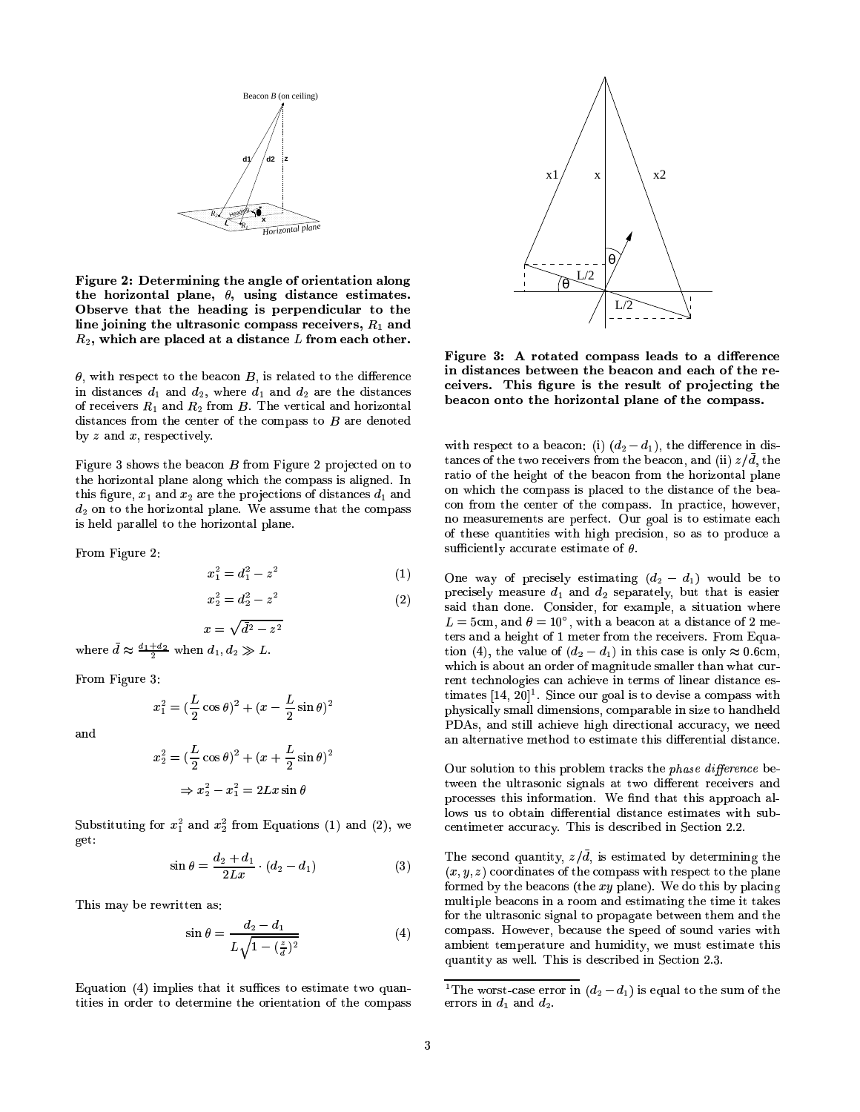

 ${\bf Figure~2: \ Determining \ the \ angle \ of \ orientation \ along}$  $\frac{1}{2}$ ,  $\frac{1}{2}$  and  $\frac{1}{2}$  over mining one angle of orientation along the horizontal plane.  $\theta$ , using distance estimates. Observe that the heading is perpendicular to the  $\overline{O}$  besonate the model in  $\overline{O}$  are perpendicular to the set of  $\overline{O}$  and  $\overline{O}$  $\sim$  yoming the distance compass receivers,  $\rm{14}$  and  $\rm{16}$ , which are placed at a distance  $L$  from each other.

 $\theta$ , with respect to the beacon  $B$ , is related to the difference  $\cdots$   $\cdots$   $\cdots$ of receivers  $R_1$  and  $R_2$  from  $B$ . The vertical and horizontal distances from the center of the compass to  $B$  are denoted by  $z$  and  $x$ , respectively.

Figure 3 shows the beacon  $B$  from Figure 2 projected on t the horizontal plane along which the compass is aligned. In  $\frac{1}{2}$   $\frac{1}{2}$   $\frac{1}{2}$  and  $\frac{1}{2}$  are the projections of distances  $\frac{1}{2}$  and  $\omega$ , on to the horizonten pranet () cassume is held parallel to the horizontal plane.

ª ª

$$
x_1^2 = d_1^2 - z^2 \tag{1}
$$

$$
x_2^2 = d_2^2 - z^2 \tag{2}
$$

 $z^2$ 

$$
x = \sqrt{d^2 - 1}
$$
  
where  $\bar{d} \approx \frac{d_1 + d_2}{2}$  when  $d_1, d_2 \gg L$ 

ª ª

$$
x_1^2 = \left(\frac{L}{2}\cos\theta\right)^2 + \left(x - \frac{L}{2}\sin\theta\right)^2
$$

and

 $\overline{M}$ 

$$
x_2^2 = \left(\frac{L}{2}\cos\theta\right)^2 + \left(x + \frac{L}{2}\sin\theta\right)^2
$$

$$
\Rightarrow x_2^2 - x_1^2 = 2Lx\sin\theta
$$

i08JA get:

$$
\sin \theta = \frac{d_2 + d_1}{2Lx} \cdot (d_2 - d_1) \tag{3}
$$

This may be rewritten as:

$$
\sin \theta = \frac{d_2 - d_1}{L\sqrt{1 - (\frac{z}{d})^2}}\tag{4}
$$

Equation  $(4)$  implies that it suffices to estimate two quantities in order to determine the orientation of the compass



Figure 3: A rotated compass leads to a difference  $\;$ in distances between the beacon and each of the receivers. This figure is the result of projecting the beacon onto the horizontal plane of the compass.

 $\frac{1}{2}$  and  $\frac{1}{2}$  and  $\frac{1}{2}$  are  $\frac{1}{2}$  (i.e.  $\frac{1}{2}$  and  $\frac{1}{2}$  and  $\frac{1}{2}$  and  $\frac{1}{2}$  and  $\frac{1}{2}$  and  $\frac{1}{2}$  and  $\frac{1}{2}$  and  $\frac{1}{2}$  and  $\frac{1}{2}$  and  $\frac{1}{2}$  and  $\frac{1}{2}$  and  $\frac{1}{2}$ tances of the two receivers from the beacon, and (ii)  $z/\bar{d}$ , th ratio of the height of the beacon from the horizontal plane \TF0OmWKGF0M AG798'\T8TOUAG8JKFSWAG7>8N\TF0MN`:S]a]TjfOm`
K(:0\JAG=@\T8n7>Fhg8TZ8JKhn O>FbMN8h:S]a^9KG8TMN8JO[AG]2:SKG8q`8JKaW\_8J\JAhj ^
KiF:0?=@] AGFb8T]AG=@Mb:SAG88h:S\L7no measurements are perfect. Our goal is to estimate eac. of these quantities with high precision, so as to produce a sufficiently accurate estimate of  $\theta$ .

One way of precisely estimating  $(d_2 - d_1)$  would be to precisely measure  $d_1$  and  $d_2$  separately, but that is easier ^ ®S\JM\*n[:0O>HIW ¥TBpnUg=@AG7l:<8h:0\JFO:SA:H9=@]A(:SO>\T82F0WMN8Je  $B=3\,\rm{GHz}$  ,  $\alpha=2\,\rm{GHz}$  , which we occupe the construction of  $\alpha=2\,\rm{MHz}$  ${\rm tens}$  and a height of 1 meter from the receivers. From Equation (4), the value of  $(d_2 - d_1)$  in this case is only  $\approx 0.6$ cm, which is about an order of magnitude smaller than what current technologies can achieve in terms of linear distance es timates  $[14, 20]^1$ . Since our goal is to devise a compass with physically small dimensions, comparable in size to handheld :0O4:0?BAG8JKGO>:SAG=@Zp8MN8JAG79F[H'AGF38T]AG=@Mb:SAG8AG7>=@]H9=B)8JKG8JO[AG=P:S?-H
=@]A(:0O>\J8jan alternative method to estimate this differential distance.

Our solution to this problem tracks the *phase difference* bewhen the distance of supersons and the different receivers and processes this information. We find that this approach al- $\blacksquare$  $\Gamma$ aro do ocomu dillololologi diovaloo oovillaavoo hivil centimeter accuracy. This is described in Section 2.2.

> $\cdots$  $(x, y, z)$  coordinates of the compass what respect to the plane formed by the beacons (the  $xy$  plane). We do this by placing multiple beacons in a room and estimating the time it takes for the ultrasonic signal to propagate between them and the compass. However, because the speed of sound varies with ÊU^:SO[AG=BAfCl:0]g8T?@?³j,67>=@]2=@]H98J]a\JKG=@<8hH4=@OÈ[8T\JAG=@FOUj ¬
> j quantity as well. This is described in Section 2.3.

67982g#F0KG]Aae\h:0]a828JKaKGF0K#=@OX».]

<sup>&</sup>lt;sup>1</sup>The worst-case error in  $(d_2 - d_1)$  is equal to the sum of the errors in  $d_1$  and  $d_2$ .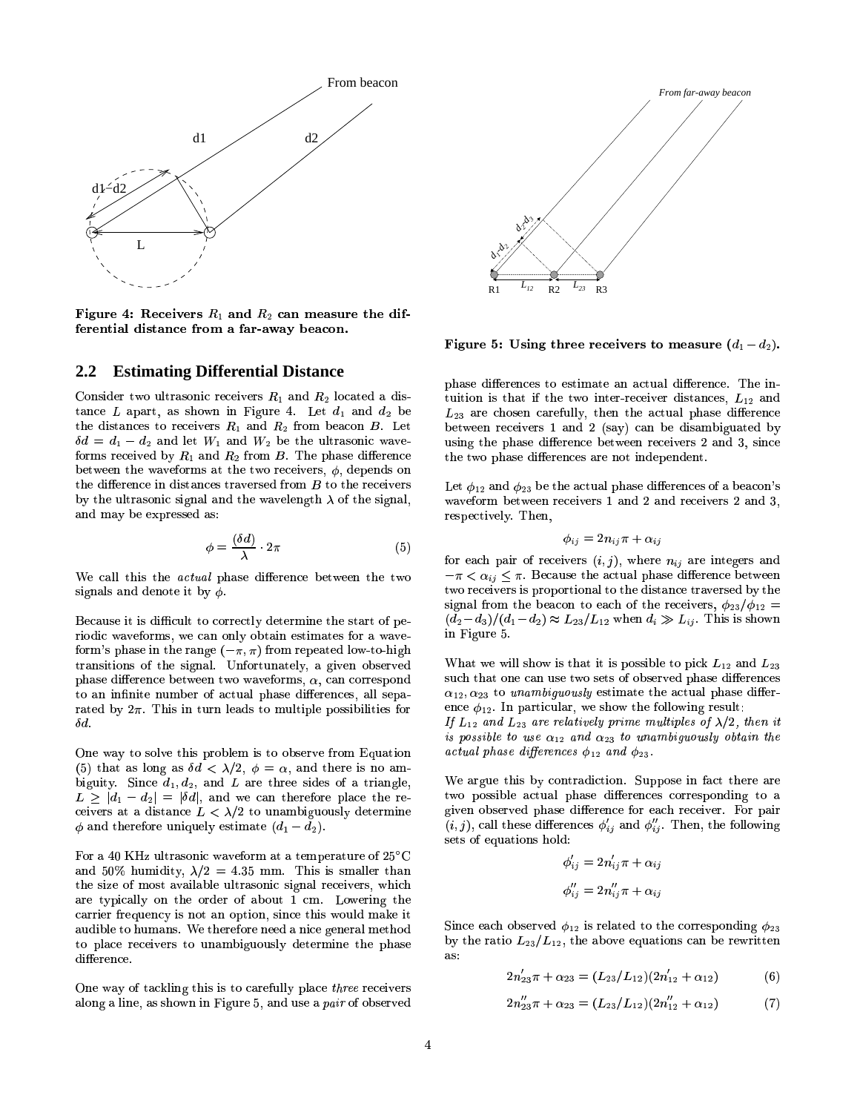

Figure 4: Receivers  $R_1$  and  $R_2$  can measure the differential distance from a far-away beacon.

### **2.2 Estimating Differential Distance**

 $\sim$  . The sum of the state of  $\sim$  states  $\sim$  . The state of  $\sim$  states in  $\sim$  so states the line of  $\sim$ tance L apart, as shown in Figure 4. Let  $d_1$  and  $d_2$  be  $\frac{1}{2}$  and  $\frac{1}{2}$  and  $\frac{1}{2}$   $\frac{1}{2}$  and  $\frac{1}{2}$   $\frac{1}{2}$  and  $\frac{1}{2}$   $\frac{1}{2}$  and  $\frac{1}{2}$  $\delta d = d_1 - d_2$  and let  $W_1$  and  $W_2$  be the ultrasonic waveforms received by  $R_1$  and  $R_2$  from B. The phase difference the two phase differences are not independent. AG798H
=@)8LKG8TO>\T82=@O4H
=P]A(:SO>\T8J]#AaK(:hZp8JKG]a8hHNWKGF0M XAGFqAG798KG8T\J8T=@Zp8JKG] the difference in distances traversed from  $B$  to the receivers so the control of the state where the second control of the second control of the second control of the second control of the second control of the second control of the second control of the second control of the second c and may be expressed as:

$$
\phi = \frac{(\delta d)}{\lambda} \cdot 2\pi \tag{5}
$$

We call this the *actual* phase difference between the two  $-\pi$ signals and denote it by  $\phi$ .

Because it is difficult to correctly determine the start of pe-WF0KGM\*· ]#`97:S]a8=PO'AG798K(:0O>i08» )¼WKGF0MIKG8J`8h:SAG8hH'?@FhgevAGF0e7>=@i07  $\sim$  . The basis of the state of the state of the distribution of the state of the state of the state of the state of the state of the state of the state of the state of the state of the state of the state of the state of transitions of the signal. Unfortunately, a given observed  $\hskip1cm$ Wha phase difference between two waveforms,  $\alpha$ , can correspond to an infinite number of actual phase differences, all separated by  $2\pi$ . This in turn leads to multiple possibilities for  $\delta d$ .

One way to solve this problem is to observe from Equation <9=@i^>=BAfCUjÈ
=@O9\T8 \)I/] )#:0O>H8^¢:SKG84AG7
KG8T8\*]a=PH98J]lFSW:XAaKG=P:SO>i?@8n  $\omega$   $\omega$ <sub>1</sub>,  $\omega$ <sub>2</sub>, and *B* are three states of a triangle<sub>1</sub>  $L \geq |d_1 - d_2| = |\delta d|$ , and we can therefore place the re- $\ldots$  ,  $\ldots$  and the validation of  $\ldots$  . The problem interaction  $\ldots$  $\phi$  and therefore uniquely estimate  $(d_1 - d_2)$ .

For a 40 KHz ultrasonic waveform at a temperature of  $25^{\circ}\mathrm{C}$ and 50% humidity,  $\lambda/2 = 4.35$  mm. This is smaller than :+KG8£AfC9`9=@\h:0?@?BCRFORAG798£FSK(H98JK4F0W3:0<F^
Am¥£\TM\*j&-Fhg8JKG=@O9iAG798are typically on the order of about 1 cm. Lowering the  $\frac{1}{\alpha}$ audible to humans. We therefore need a nice general method wo onwoo too difference.

One way of tackling this is to carefully place *three* receive  $\overline{P}$   $\overline{P}$   $\overline{P}$   $\overline{P}$   $\overline{P}$   $\overline{P}$   $\overline{P}$   $\overline{P}$   $\overline{P}$   $\overline{P}$   $\overline{P}$   $\overline{P}$   $\overline{P}$   $\overline{P}$   $\overline{P}$   $\overline{P}$   $\overline{P}$   $\overline{P}$   $\overline{P}$   $\overline{P}$   $\overline{P}$   $\overline{P}$   $\overline{P}$   $\overline{P}$   $\overline{$ 



Figure 5: Using three receivers to measure  $(d_1-d_2)$ .

phase differences to estimate an actual difference. The intuition is that if the two inter-receiver distances,  $L_{12}$  and  $L_{23}$  are chosen carefully, then the actual phase difference  $\overline{\mathcal{U}}$  ,  $\overline{\mathcal{U}}$  ,  $\overline{\mathcal{U}}$  ,  $\overline{\mathcal{U}}$  ,  $\overline{\mathcal{U}}$  ,  $\overline{\mathcal{U}}$  ,  $\overline{\mathcal{U}}$  ,  $\overline{\mathcal{U}}$  ,  $\overline{\mathcal{U}}$  ,  $\overline{\mathcal{U}}$  ,  $\overline{\mathcal{U}}$  ,  $\overline{\mathcal{U}}$  ,  $\overline{\mathcal{U}}$  ,  $\overline{\mathcal{U}}$  ,  $\overline{\mathcal{U}}$  ,  $\overline{\mathcal{U}}$  $\alpha$ ping the bhose chretenee between feetivity s of

Let  $\phi_{12}$  and  $\phi_{23}$  be the actual phase differences of a beacon's KG8T]a`8T\LAG=PZ8T?BCUj%67>8TO5n respectively. Then,

$$
\phi_{ij} = 2n_{ij}\pi + \alpha_{ij}
$$

 $\mu_{\rm B1}$  is the search to each of the receivers,  $\varphi_{25}/\varphi_{12} =$  $\sqrt{\omega_2}$   $\omega_3$ // $\sqrt{\omega_1}$ for each pair of receivers  $(i, j)$ , where  $n_{ij}$  are integers and  $-\pi < \alpha_{ij} \leq \pi$ . Because the actual phase difference between two receivers is proportional to the distance traversed by the in Figure 5.

What we will show is that it is possible to pick  $L_{12}$  and  $L_2$  \ ] )<]-,AGF[¯ 8J]AG=PMb:+AG8AG7>8:0\JAG^>:0?`97:0]a8H
=@)8LKae $\alpha_{12}, \alpha_{23}$  to unambiquously estimate the actual phase di  $\alpha$   $\beta$   $\beta$   $\gamma$   $\beta$   $\gamma$  are  $\alpha$   $\alpha$   $\beta$   $\gamma$   $\beta$   $\gamma$ 

s possible to use  $\alpha_{12}$  and  $\alpha_{23}$  to unambiguously obtain the  $_{15}^{12}$  and  $_{23}^{12}$  are relatively prime multiples of  $\lambda/2$ , then it  $\frac{1}{2}$  and  $\frac{1}{2}$  and  $\frac{1}{2}$  and  $\frac{1}{2}$ 

sets of equations hold: We argue this by contradiction. Suppose in fact there are  $\sim$  , the population assumed as a proportional formulation  $\sim$ given observed phase difference for each receiver. For pair  $\;$  $\frac{1}{2}$  . The contract  $\frac{1}{2}$  of  $\frac{1}{2}$ L/0 1L/0 -

$$
\phi'_{ij} = 2n'_{ij}\pi + \alpha_{ij}
$$

$$
\phi''_{ij} = 2n''_{ij}\pi + \alpha_{ij}
$$

Since each observed  $\phi_{12}$  is related to the corresponding  $\phi_{23}$  $\frac{1}{2}$ as:

$$
2n'_{23}\pi + \alpha_{23} = (L_{23}/L_{12})(2n'_{12} + \alpha_{12})
$$
 (6)

$$
2n_{23}''\pi + \alpha_{23} = (L_{23}/L_{12})(2n_{12}'' + \alpha_{12})
$$
 (7)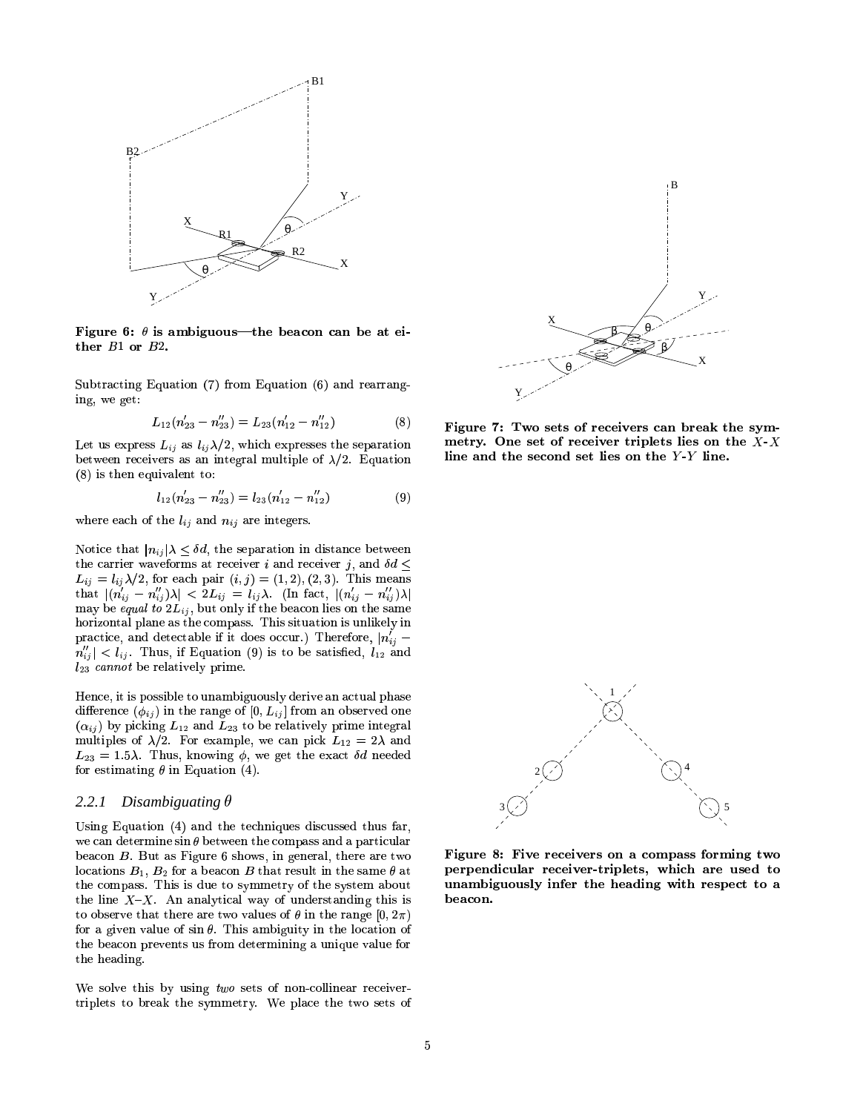

Figure 6:  $\theta$  is ambiguous—the beacon can be at either  $B1$  or  $B2$ .

Subtracting Equation (7) from Equation (6) and rearranging, we get:

$$
L_{12}(n'_{23}-n''_{23})=L_{23}(n'_{12}-n''_{12})
$$
\n(8)

Let us express  $L_{ij}$  as  $l_{ij}\lambda/2$ , which expresses the separation between receivers as an integral multiple of  $\lambda/2$ . Equation  $(8)$  is then equivalent to:

$$
l_{12}(n'_{23} - n''_{23}) = l_{23}(n'_{12} - n''_{12})
$$
\n(9)

where each of the  $l_{ij}$  and  $n_{ij}$  are integers.

Notice that  $|n_{ij}|\lambda \leq \delta d$ , the separation in distance between the carrier waveforms at receiver i and receiver j, and  $\delta d \leq$  $L_{ij} = l_{ij} \lambda/2$ , for each pair  $(i, j) = (1, 2), (2, 3)$ . This means that  $|(n'_{ij} - n''_{ij})\lambda| < 2L_{ij} = l_{ij}\lambda$ . (In fact,  $|(n'_{ij} - n''_{ij})\lambda|$ may be equal to  $2L_{ij}$ , but only if the beacon lies on the same horizontal plane as the compass. This situation is unlikely in practice, and detectable if it does occur.) Therefore,  $|n'_{ij}$  –  $n''_{ij}|$  <  $l_{ij}$ . Thus, if Equation (9) is to be satisfied,  $l_{12}$  and  $l_{23}$  cannot be relatively prime.

Hence, it is possible to unambiguously derive an actual phase difference  $(\phi_{ij})$  in the range of  $[0, L_{ij}]$  from an observed one  $(\alpha_{ij})$  by picking  $L_{12}$  and  $L_{23}$  to be relatively prime integral multiples of  $\lambda/2$ . For example, we can pick  $L_{12} = 2\lambda$  and  $L_{23} = 1.5\lambda$ . Thus, knowing  $\phi$ , we get the exact  $\delta d$  needed for estimating  $\theta$  in Equation (4).

#### $2.2.1$ Disambiguating  $\theta$

Using Equation (4) and the techniques discussed thus far. we can determine  $\sin \theta$  between the compass and a particular beacon  $B$ . But as Figure 6 shows, in general, there are two locations  $B_1$ ,  $B_2$  for a beacon B that result in the same  $\theta$  at the compass. This is due to symmetry of the system about the line  $X-X$ . An analytical way of understanding this is to observe that there are two values of  $\theta$  in the range  $[0, 2\pi)$ for a given value of  $\sin \theta$ . This ambiguity in the location of the beacon prevents us from determining a unique value for the heading.

We solve this by using two sets of non-collinear receivertriplets to break the symmetry. We place the two sets of



Figure 7: Two sets of receivers can break the symmetry. One set of receiver triplets lies on the  $X$ -X line and the second set lies on the Y-Y line.



Figure 8: Five receivers on a compass forming two perpendicular receiver-triplets, which are used to unambiguously infer the heading with respect to a beacon.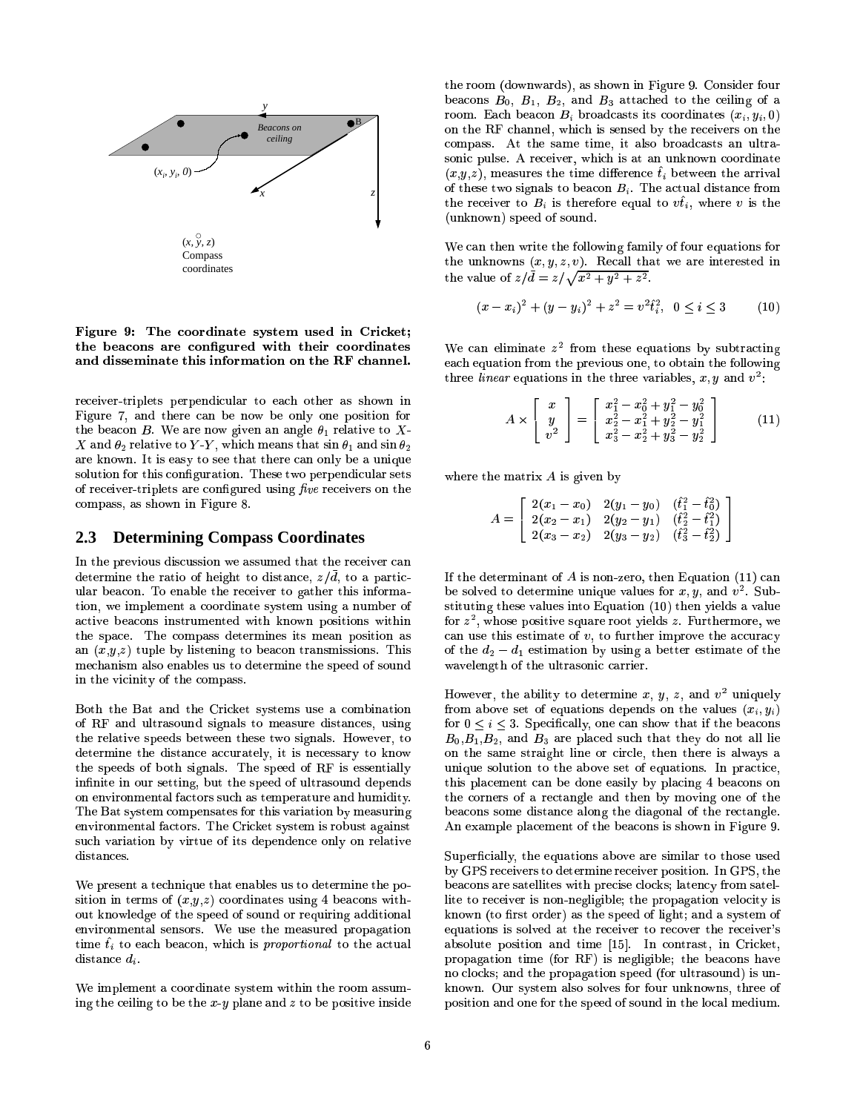

Figure 9: The coordinate system used in Cricket; the beacons are configured with their coordinates and disseminate this information on the RF channel.

receiver-triplets perpendicular to each other as shown in Figure 7, and there can be now be only one position for the beacon B. We are now given an angle  $\theta_1$  relative to X-X and  $\theta_2$  relative to Y-Y, which means that  $\sin \theta_1$  and  $\sin \theta_2$ are known. It is easy to see that there can only be a unique solution for this configuration. These two perpendicular sets of receiver-triplets are configured using five receivers on the compass, as shown in Figure 8.

#### **Determining Compass Coordinates** 2.3

In the previous discussion we assumed that the receiver can determine the ratio of height to distance,  $z/\bar{d}$ , to a particular beacon. To enable the receiver to gather this information, we implement a coordinate system using a number of active beacons instrumented with known positions within the space. The compass determines its mean position as an  $(x,y,z)$  tuple by listening to beacon transmissions. This mechanism also enables us to determine the speed of sound in the vicinity of the compass.

Both the Bat and the Cricket systems use a combination of RF and ultrasound signals to measure distances, using the relative speeds between these two signals. However, to determine the distance accurately, it is necessary to know the speeds of both signals. The speed of RF is essentially infinite in our setting, but the speed of ultrasound depends on environmental factors such as temperature and humidity. The Bat system compensates for this variation by measuring environmental factors. The Cricket system is robust against such variation by virtue of its dependence only on relative distances.

We present a technique that enables us to determine the position in terms of  $(x,y,z)$  coordinates using 4 beacons without knowledge of the speed of sound or requiring additional environmental sensors. We use the measured propagation time  $t_i$  to each beacon, which is proportional to the actual distance  $d_i$ .

We implement a coordinate system within the room assuming the ceiling to be the  $x - y$  plane and  $z$  to be positive inside the room (downwards), as shown in Figure 9. Consider four beacons  $B_0$ ,  $B_1$ ,  $B_2$ , and  $B_3$  attached to the ceiling of a room. Each beacon  $B_i$  broadcasts its coordinates  $(x_i, y_i, 0)$ on the RF channel, which is sensed by the receivers on the compass. At the same time, it also broadcasts an ultrasonic pulse. A receiver, which is at an unknown coordinate  $(x,y,z)$ , measures the time difference  $\hat{t}_i$  between the arrival of these two signals to beacon  $B_i$ . The actual distance from the receiver to  $B_i$  is therefore equal to  $v\hat{t}_i$ , where v is the (unknown) speed of sound.

We can then write the following family of four equations for the unknowns  $(x, y, z, v)$ . Recall that we are interested in the value of  $z/\overline{d} = z/\sqrt{x^2 + y^2 + z^2}$ .

$$
(x - xi)2 + (y - yi)2 + z2 = v2 \hat{t}i2, 0 \le i \le 3
$$
 (10)

We can eliminate  $z^2$  from these equations by subtracting each equation from the previous one, to obtain the following three *linear* equations in the three variables, x, y and  $v^2$ .

$$
A \times \left[ \begin{array}{c} x \\ y \\ v^2 \end{array} \right] = \left[ \begin{array}{c} x_1^2 - x_0^2 + y_1^2 - y_0^2 \\ x_2^2 - x_1^2 + y_2^2 - y_1^2 \\ x_3^2 - x_2^2 + y_3^2 - y_2^2 \end{array} \right] \tag{11}
$$

where the matrix  $A$  is given by

$$
A = \left[ \begin{array}{ccc} 2(x_1 - x_0) & 2(y_1 - y_0) & (\hat{t}_1^2 - \hat{t}_0^2) \\ 2(x_2 - x_1) & 2(y_2 - y_1) & (\hat{t}_2^2 - \hat{t}_1^2) \\ 2(x_3 - x_2) & 2(y_3 - y_2) & (\hat{t}_3^2 - \hat{t}_2^2) \end{array} \right]
$$

If the determinant of  $A$  is non-zero, then Equation (11) can be solved to determine unique values for  $x, y$ , and  $v^2$ . Substituting these values into Equation (10) then yields a value for  $z^2$ , whose positive square root yields z. Furthermore, we can use this estimate of  $v$ , to further improve the accuracy of the  $d_2 - d_1$  estimation by using a better estimate of the wavelength of the ultrasonic carrier.

However, the ability to determine x, y, z, and  $v^2$  uniquely from above set of equations depends on the values  $(x_i, y_i)$ for  $0 \leq i \leq 3$ . Specifically, one can show that if the beacons  $B_0, B_1, B_2$ , and  $B_3$  are placed such that they do not all lie on the same straight line or circle, then there is always a unique solution to the above set of equations. In practice, this placement can be done easily by placing 4 beacons on the corners of a rectangle and then by moving one of the beacons some distance along the diagonal of the rectangle. An example placement of the beacons is shown in Figure 9.

Superficially, the equations above are similar to those used by GPS receivers to determine receiver position. In GPS, the beacons are satellites with precise clocks; latency from satellite to receiver is non-negligible; the propagation velocity is known (to first order) as the speed of light; and a system of equations is solved at the receiver to recover the receiver's absolute position and time [15]. In contrast, in Cricket, propagation time (for RF) is negligible; the beacons have no clocks; and the propagation speed (for ultrasound) is unknown. Our system also solves for four unknowns, three of position and one for the speed of sound in the local medium.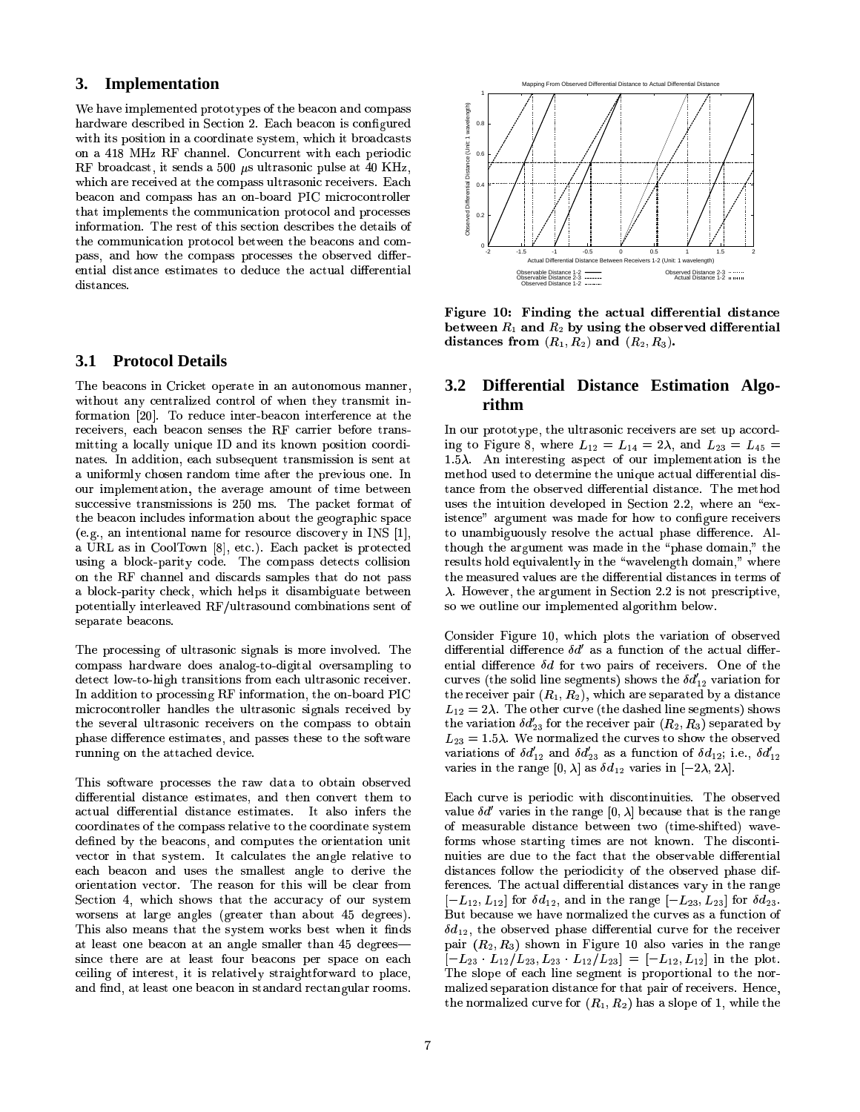# **3. Implementation**

We have implemented prototypes of the beacon and compass hardware described in Section 2. Each beacon is configured  $F_{\rm 2}$  and  $F_{\rm 2}$  by  $F_{\rm 2}$  and  $F_{\rm 2}$  is  $\sim$   $25$   $\mu$   $\mu$   $\mu$ . Then to promote  $\mu$  $\lambda$  418 MHz RF channel. Concurrent with each periodic  $\rm RF$  broadcast, it sends a 500  $\mu$ s ultrasonic pulse at 40 KHz which are received at the compass ultrasonic receivers. Each AG7>:SA=@MN`>?@8TMN8JO[AG]%AG7>82\TFMNMq^>O>=@\h:+AG=@FOb`9KGFSAGFU\TF?-:0O>Hl`
KGFU\T8T]a]a8T]=@O
W\_F0KGMb:+AG=@FO-j,6798KG8T]AF0W5AG7>=@]#]a8T\LAG=PF0O4H
8T]a\JKG=@<8T]#AG798 H
8JA(:0=@?@]FSWinformation. The rest of this section describes the details of the communication protocol between the beacons and compass, and how the compass processes the observed differwww.cov distances

#### **3.1 Protocol Details**

The beacons in Cricket operate in an autonomous manner,  $\cdots$  and  $\cdots$  and  $\cdots$   $\cdots$   $\cdots$   $\cdots$   $\cdots$   $\cdots$   $\cdots$   $\cdots$   $\cdots$   $\cdots$  $\text{F}$   $\text{F}$   $\text{F}$   $\text{F}$   $\text{F}$   $\text{F}$   $\text{F}$   $\text{F}$   $\text{F}$   $\text{F}$   $\text{F}$   $\text{F}$   $\text{F}$   $\text{F}$   $\text{F}$   $\text{F}$   $\text{F}$   $\text{F}$   $\text{F}$   $\text{F}$   $\text{F}$   $\text{F}$   $\text{F}$   $\text{F}$   $\text{F}$   $\text{F}$   $\text{F}$   $\text{F$ receivers, each beacon senses the RF carrier before trans mitting a locally unique ID and its known position coordinates. In addition, each subsequent transmission is sent at F0^9Kb=@MN`>?@8TMN8JO[A(:+AG=@FO-n%AG7>84:hZp8JK(:0i08:0MNF0^>OUA'FSWAG=@MN84<8JAfg8T8TO our implementation, the average amount of time between successive transmissions is  $250$  ms. The packet format of and possed increases information about the geographic space  $\cos \theta$  and the functional matrix for resource discovery in 1.00  $\left[1\right]$ , so as a URL as in CoolTown [8], etc.). Each packet is protected  $\frac{1}{2}$   $\frac{1}{2}$   $\frac{1}{2}$   $\frac{1}{2}$   $\frac{1}{2}$   $\frac{1}{2}$   $\frac{1}{2}$   $\frac{1}{2}$   $\frac{1}{2}$   $\frac{1}{2}$   $\frac{1}{2}$ on the RF channel and discards samples that do not pas  $\sigma$  sigua bours choos. Hindi hord o choonicle and boundary  $\rm{potential}$ lv interleaved  $\rm{RF}$ separate beacons.

The processing of ultrasonic signals is more involved. The H
8JAG8T\JA?PFhgevAGF0e79=Pi07AaK(:SO>]a=BAG=@FO>]WKGFM 8T:0\(74^>?BAaK(:S]aFO>=@\ KG8J\T8T=@Zp8JKhj  $\frac{1}{2}$ In addition to processing RF information, the on-board PI microcontroller handles the ultrasonic signals received by the several ultrasonic receivers on the compass to obtain KG^9O>O9=PO9i3F0O4AG7>8:+AaA(:0\(7>8hH4H98TZ[=@\T8j running on the attached device.

 $\pm$  1882 Toron agreement to the same stars the second contraction of the same stars of the same second stars of the same second stars of the same second stars of the same second stars of the same second stars of the same :SIII)9J\JIBB8D=\\$D;D;B&BI\AG=\A(!DIBIDAG);\_B&BI\&=DIL\/II=\AJ/IFF\\/FD==0.BI\/III=U\/ ============ actual differential distance estimates. It also infers the coordinates of the compass relative to the coordinate system defined by the beacons, and computes the orientation unit  $\frac{1}{2}$  . The  $\frac{1}{2}$  and  $\frac{1}{2}$  are  $\frac{1}{2}$  and  $\frac{1}{2}$  and  $\frac{1}{2}$  are  $\frac{1}{2}$  . The  $\frac{1}{2}$ each beacon and uses the smallest angle to derive the È[8T\JAG=@FO ¤9ng79=P\(7;]a7>Fhg]AG7:SA4AG7>8c:S\T\T^
K(:0\JC;F0W3F^
K]C9]AG8JM g#F0KG]a8TO9]X:SA?P:SKGi08:0O9i?@8T]»³i0KG8T:SAG8JKAG7>:0O :0<F^
A¤U®H98TiSKG8T8T](¼Lj worsens at large angles (greater than about 45 degrees). This also means that the system works best when it finds at least one beacon at an angle smaller than  $45$  degrees since there are at least four beacons per space on each ceiling of interest, it is relatively straightforward to place, and find, at least one beacon in standard rectangular rooms.



Figure  $10$ : Finding the actual differential distance  $\,$ between  $R_1$  and  $R_2$  by using the observed differential distances from  $(R_1, R_2)$  and  $(R_2, R_3)$ .

# **3.2 Differential Distance Estimation Algorithm**

 $\mathbf{m}$  our prototype, the disruption receivers are set up accord. ing to Figure 8, where  $L_{12} = L_{14} = 2\lambda$ , and  $L_{23} = L_{45}$  = MN8JAG79F[H3^>]a8hHAGFH98JAG8JKGMN=@O98AG7>8^>O9=PÊ[^98:0\JAG^>:0?>H9=B)8JKG8TOUAG=P:0?H
=@]emethod used to determine the unique actual differential dis-^>]a8J]AG798l=@OUAG^>=BAG=@FOcH98TZp8J?PF0`8hHc=@OÈ
8J\JAG=@FO[j Un%g798JKG8l:0O½f8Jd[e  $\mu$ doo ure muustoo actoobea in oecuon staatuste an een istence" argument was made for how to configure receivers to unambiguously resolve the actual phase difference. Al- $\frac{1}{2}$  . The station is the compact of  $\frac{1}{2}$  in  $\frac{1}{2}$  . The contract  $\frac{1}{2}$ results hold equivalently in the "wavelength domain," where  $_{\rm v}$  is a formation and allowed and construct the component of  $_{\rm v}$  and  $_{\rm v}$  $\cdots$  if the state and we extremely the property  $\cdots$  and  $\cdots$   $\cdots$ so we outline our implemented algorithm below.

 $\mathcal{S}(\mathcal{S})$  ^ \ ] \$
-j67>8FSAG7>8JK"\J^9KGZp8»\_AG7>8#H>:0]a798hHq?@=@O>8#]a8TiMN8TOUAG](¼-]a79Fhg] $\mathcal{L}_{12} = 2\pi$ . The centre curve (the desired three segments) shows  $\sum_{i=1}^{\infty}$   $\sum_{i=1}^{\infty}$   $\sum_{i=1}^{\infty}$   $\sum_{i=1}^{\infty}$   $\sum_{i=1}^{\infty}$   $\sum_{i=1}^{\infty}$   $\sum_{i=1}^{\infty}$   $\sum_{i=1}^{\infty}$ varies in the range  $[0, \lambda]$  as  $\delta d_{12}$  varies in  $[-2\lambda, 2\lambda]$ . Consider Figure 10, which plots the variation of observed affirmation difference of the artificial of the details differ  $\text{F}$ affer and  $\text{F}$  and  $\text{F}$  and  $\text{F}$  and  $\text{F}$  are  $\text{F}$  and  $\text{F}$  and  $\text{F}$  are  $\text{F}$  and  $\text{F}$ curves (the solid line segments) shows the  $\delta d'_{12}$  variation for  $\mathcal{L}_2$  = 1.000 was included the carves to show the observed variations of  $\sigma w_{12}$  and  $\sigma w_{23}$  as a randeron or  $\sigma w_{12}$ , not,  $\sigma z$ 

> Each calve is perfolate with discontinuately. The observed<br>value  $\delta d'$  varies in the range  $[0, \lambda]$  because that is the range Z0:0?@^>8 of filowoutuolo undulito occhecii cho tulifouliticus; hurto –  $\mathcal{D}$ . Bagaal of  $\mathcal{D}$  and  $\mathcal{D}$  and  $\mathcal{D}$  and  $\mathcal{D}$  are  $\mathcal{D}$  . The subset of  $\mathcal{D}$ nuities are due to the fact that the observable differential W\_8LKG8TO>\T8J]Tj#6798:0\JAG^>:0?-H9=B)8JKG8TOUAG=P:0?5H
> =P]A(:SO>\T8J]Z0:SKaCb=@OlAG7>8 K(:SO>i8 $\Gamma$ <sub>1</sub> )  $\Gamma$ <sub>1</sub>  $\Gamma$ <sub>1</sub>  $\Gamma$ <sub>1</sub>  $\Gamma$ <sub>2</sub>  $\Gamma$ <sub>2</sub>  $\Gamma$ <sub>3</sub>  $\Gamma$ <sub>3</sub>  $\Gamma$ <sub>3</sub>  $\Gamma$ <sub>3</sub>  $\Gamma$ <sub>3</sub>  $\Gamma$ <sub>3</sub>  $\Gamma$ <sub>3</sub>  $\Gamma$ <sub>3</sub>  $\Gamma$ <sub>3</sub>  $\Gamma$ <sub>3</sub>  $\Gamma$ <sub>3</sub>  $\Gamma$ <sub>3</sub>  $\Gamma$ <sub>3</sub>  $\Gamma$ <sub>3</sub>  $\Gamma$ <sub>3</sub>  $\Gamma$ <sub>3</sub>  $\Gamma$ <sub>3</sub>  $\Gamma$ <sub>3</sub>  $\Gamma$ <sub>3</sub>  $\Gamma$ <sub>3</sub>  $\Gamma$ <sub>3</sub>  $\Gamma$  $[-L_{12}, L_{12}]$  for  $\delta d_{12}$ , and in the range  $[-L_{23}, L_{23}]$  for  $\delta d_{23}$ .  $\bf{D}$ as because we have hormanized she can ves as a runeston or `:S=BK»[] ) [, ¼q]a7>FhgO=PO =@i^
> KG8m¥h£:0?@]aFcZ0:SKG=@8T]N=@OAG798K(:SO>i8pair  $(R_2, R_3)$  shown in Figure 10 also varies in the range  $[-L_{23} \ L_{12}/L_{23}, L_{23} \ L_{13}/L_{23}] = [-L_{12}, L_{12}]$  in the plot The slope of each line segment is proportional to the normalized separation distance for that pair of receivers. Hence, the normalized curve for  $(R_1, R_2)$  has a slope of 1, while the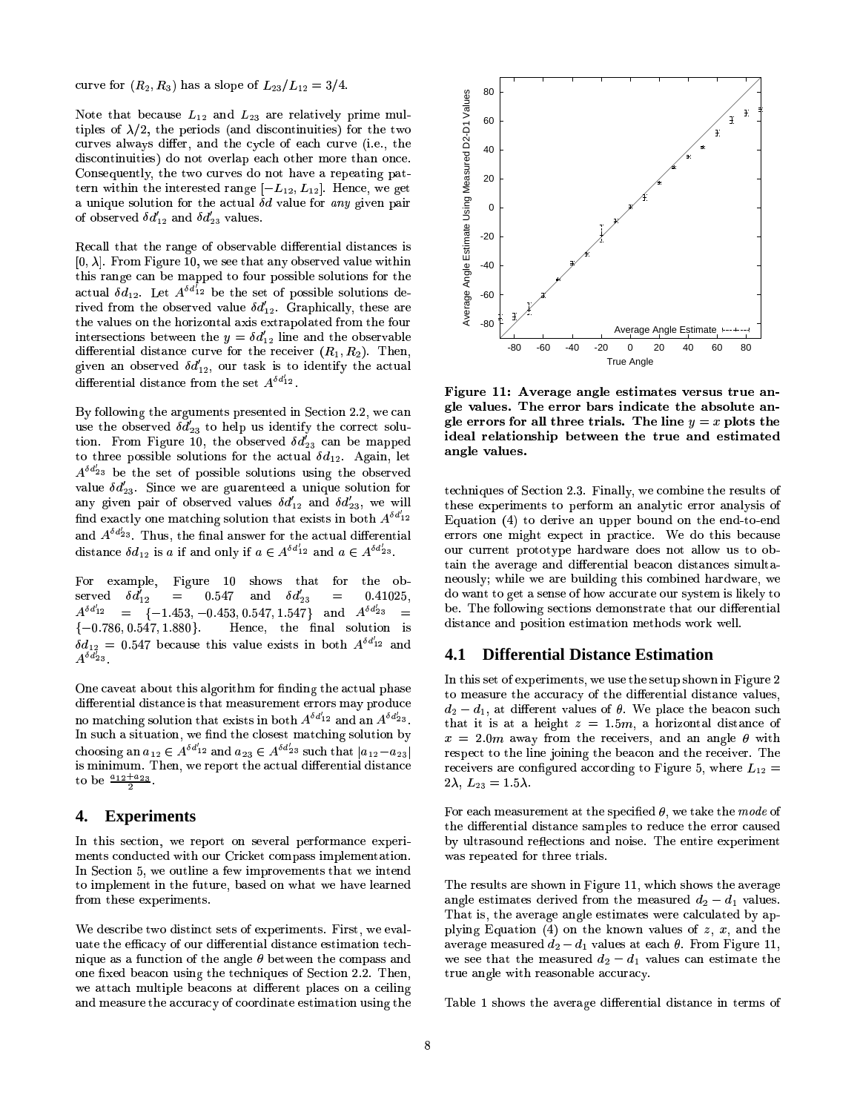curve for  $(R_2, R_3)$  has a slope of  $L_{23}/L_{12} = 3/4$ .

Note that because  $L_{12}$  and  $L_{23}$  are relatively prime multiples of  $\lambda/2$ , the periods (and discontinuities) for the two curves always differ, and the cycle of each curve (i.e., the discontinuities) do not overlap each other more than once. AG8LKGO4g=BAG7>=@O\*AG7>8=@OUAG8JKG8T]AG8TH4K(:0O>i08N ^ \ ]) ^\ ]Lvj§ 8JO>\T8n
g8i08JA  $\sum_{i=1}^{\infty}$  and  $\sum_{i=1}^{\infty}$  and  $\sum_{i=1}^{\infty}$  and  $\sum_{i=1}^{\infty}$  and  $\sum_{i=1}^{\infty}$  $\alpha$  in which the interested range  $\{L_1, L_2, L_3\}$ . Hence, we get a unique solution for the actual  $\delta d$  value for any given pair

Recall that the range of observable differential distances i  $[0, \lambda]$ . From Figure 10, we see that any observed value within :So 8Jaaqaaraa 1992 iyo 8Jaaqaaraa 1992 iyo 8Jaaqaaraa 1992 iyo 8dhaqaaraa 1992 iyo 8dhaqaaraa 1992 iyo 8dhaqa<br>Baraa 1992 iyo 8dhaqaaraa 1992 iyo 8dhaqaaraa 1992 iyo 8dhaqaaraa 1992 iyo 8dhaqaaraa 1992 iyo 8dhaqaaraa 1992 actual  $\delta d_{12}$ . Let  $A^{\delta d_{12}^{\dagger}}$  be the set of possible solutions de  $\frac{1}{2}$  is  $\frac{1}{2}$ . Both: Section in the observed value  $\delta d'_{12}$ . Graphically, these are and vertice on the horizonten date of the potential the rout  $\mu$ nvorbovnomo oven odre eno a  $\mu$  var) haro where eno ovevrreeno  $\frac{1}{2}$  and  $\frac{1}{2}$  and  $\frac{1}{2}$  and  $\frac{1}{2}$  and  $\frac{1}{2}$  and  $\frac{1}{2}$   $\frac{1}{2}$   $\frac{1}{2}$   $\frac{1}{2}$   $\frac{1}{2}$   $\frac{1}{2}$ H
=B)8JKG8TOUAG=P:0?H
=@]A(:0O>\J8WKGFM AG798]a8JA ! & <sup>j</sup> differential distance from the set  $A^{\delta d'_{12}}$ .

 $B_3$  removing the digitments presented in Section 2.2, we can  $\frac{d\omega}{d\theta}$  cooler rod  $\frac{\omega_{23}}{d\theta}$  to help  $\frac{d\omega}{d\theta}$  has received bord tion. From Figure 10, the observed  $\delta d'_{23}$  can be mapped  $A^{\delta d'_{23}}$  be the to three possible solutions for the actual  $\delta d_{12}$ . Again, let  $\frac{1}{\sqrt{2}}$  is the set of possible solutions using the observed  $\frac{1}{\sqrt{2}}$  value  $\delta d_{22}^{\prime}$ . Since we are guarenteed a unique solution for any given pair of observed values  $\delta d'_{12}$  and  $\delta d'_{23}$ , we will  $\lim_{t\to\infty}$  one matching solution that exists in both  $A^{\delta d'_{12}}$ and  $A^{\delta d'_{23}}$ . Thus, the final answer for the actual differential  $\delta d$  is a if and only if a  $\epsilon A \delta d'_{12}$  and a  $\epsilon A \delta d'_{23}$ 

 $\quad {\rm For\ \ \ example}, \quad {\rm Figure \ \ \ 10 \ \ \ shows \ \ that \ \ for \ \ the \ \ ob A^{\delta d'_{12}} = \begin{bmatrix} -1.453 & -0.453 & 0.547 & 1.547 \end{bmatrix}$  and  $A^{\delta d'_{23}} =$ served  $\delta d'_{12} = 0.547$  and  $\delta d'_{23} = 0.41025$ ,  $\delta d_{12} = 0.547$  because this value exists in both  $A^{\delta d'_{12}}$  and  $\{-0.786, 0.547, 1.880\}$ . Hence, the final solution is  $A^{\delta d^7_{23}}$  .

One caveat about this algorithm for finding the actual phas  $\mathcal{M}=\mathcal{P}$ no matching solution that exists in both  $A^{\delta d'_{12}}$  and an  $A^{\delta d'_{23}}$ .  $\langle 2\rangle$  . The sound of the solution  $\langle 1\rangle$ choosing an  $a_{12} \in A^{\delta d'_{12}}$  and  $a_{23} \in A^{\delta d'_{23}}$  such that  $|a_{12}-a_{23}|$  $\sim$   $\mu$  ,  $\mu$  ,  $\mu$  ,  $\mu$  ,  $\mu$ to be  $\frac{a_{12}+a_{23}}{2}$ .

### **4. Experiments**

In this section, we report on several performance experiments conducted with our Cricket compass implementation. In Section 5, we outline a few improvements that we intend wo mnonchione in eno raegre from these experiments.

We describe two distinct sets of experiments. First, we evaluate the efficacy of our differential distance estimation tech- $\bf{1}\pm\bf{1}\times\bf{1}\times\bf{2}$  and  $\bf{2}\pm\bf{1}\times\bf{1}\times\bf{2}$  and  $\bf{3}\pm\bf{1}\times\bf{2}$  and  $\bf{4}\pm\bf{1}\times\bf{2}$ one fixed beacon using the techniques of Section 2.2. Then, true angle with reasonable accuracy. we attach multiple beacons at different places on a ceiling and measure the accuracy of coordinate estimation using the



 $\,$ <sub>0</sub> ele values. The error bars indicate the absolute anangle values. Figure 11: Average angle estimates versus true angle errors for all three trials. The line  $y = x$  plots the ideal relationship between the true and estimated

 $\frac{1}{23}$   $\frac{1}{28}$  be. The following sections demonstrate that our differe techniques of Section 2.3. Finally, we combine the results of these experiments to perform an analytic error analysis of Eduanch II ao aoire an apportocan  $\Xi$ quation (1) to derive an apper bound on the end to end<br>errors one might expect in practice. We do this because our current prototype hardware does not allow us to ob- $\sim$  8.0  $\sim$  0.0  $\sim$  0.0  $\sim$  0.0  $\sim$  0.0  $\sim$  0.0  $\sim$  0.0  $\sim$  0.0  $\sim$  0.0  $\sim$  0.0  $\sim$  0.0  $\sim$  0.0  $\sim$  0.0  $\sim$  0.0  $\sim$  0.0  $\sim$  0.0  $\sim$  0.0  $\sim$  0.0  $\sim$  0.0  $\sim$  0.0  $\sim$  0.0  $\sim$  0.0  $\sim$  0.0  $\sim$  0.0  $\sim$  neously; while we are building this combined hardware, we do want to get a sense of how accurate our system is likely to

### **4.1 Differential Distance Estimation**

In this set of experiments, we use the setup shown in Figure  $2$ to measure the accuracy of the differential distance values, Agr:+ Agric Band Battleys bitch than band and the control bitches of the control of the control of the control that it is at a height  $z=1.9m$ , a horizontal distance of  $\mathcal{S}$  as each and the contracted of the contraction of  $\mathcal{S}$  and  $\mathcal{S}$  and  $\mathcal{S}$  and  $\mathcal{S}$  $\Gamma$  respect to the fine forming the beaton and the receiver. The receivers are configured according to Figure 5. whe  $2\lambda$ ,  $L_{23} = 1.5\lambda$ .

> $\sim$  0TH computed and control begins the four activity of the computer structure and  $\sim$ was repeated for three trials. For each measurement at the specified  $\theta.$  we take the  $mode$   $c$ g:S]KG8J`8h:SAG8hHlW\_F0KAG7
> KG8T8AaKG=P:0?@]Tj

 $\pm$ 1100 ID, the Gregory Green Countries of the State and State and State and State and State and State and St The results are shown in Figure 11, which shows the average angle estimates derived from the measured  $d_2-d_1$  values. :hZp8JK(:Si8MN8h:S]a^9KG8hH]  \ Z:S?P^98T]:+A8h:0\(7IW
j KGF0M=@i^
KG83¥¥0naverage measured  $d_2-d_1$  values at each  $\theta$ . From Figure 11. AaKG^>8:0O>i0?@8g=BAG74KG8T:0]aFO>:0<9?P8:S\T\T^9K(:S\JCUj

Table 1 shows the average differential distance in terms of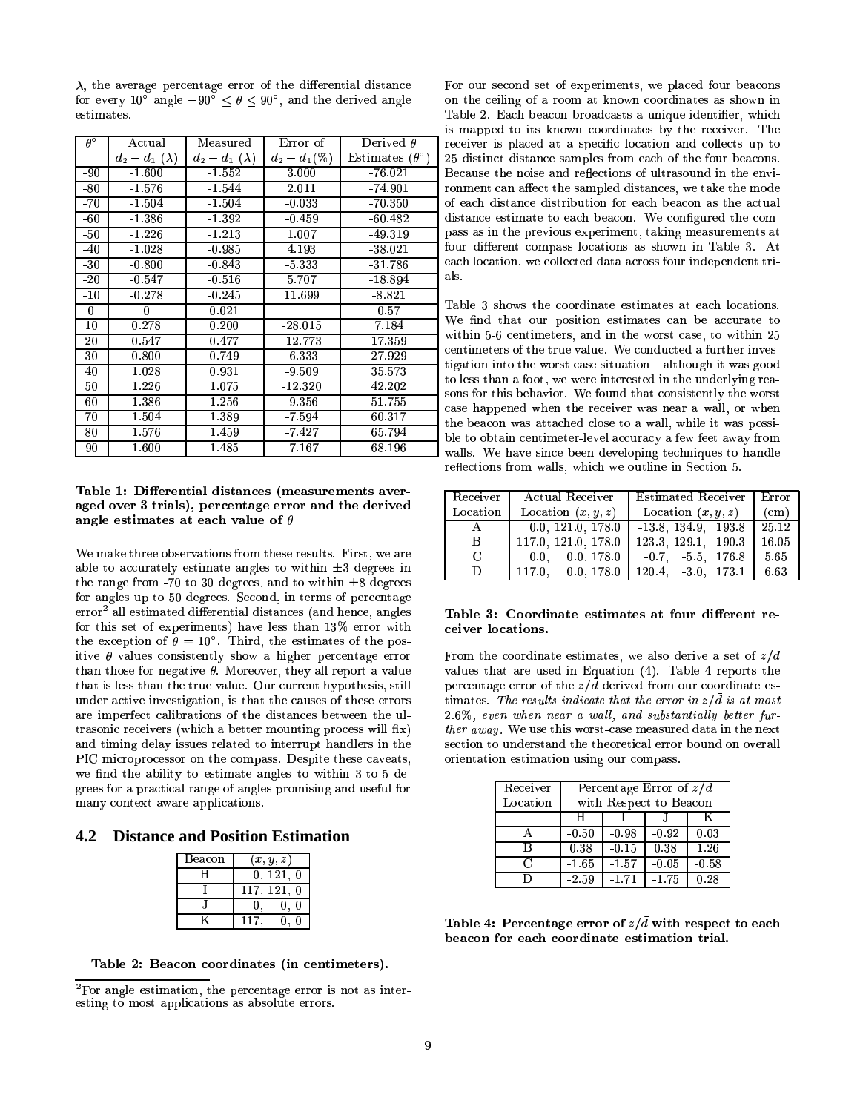$\lambda$ , the average percentage error of the differential distance for every 10<sup>°</sup> angle  $-90^{\circ} \le \theta \le 90^{\circ}$ , and the derived angle estimates.

| $\theta^{\circ}$ | Actual              | Measured           | Error of        | Derived $\theta$             |
|------------------|---------------------|--------------------|-----------------|------------------------------|
|                  | $d_2-d_1(\lambda)$  | $d_2-d_1(\lambda)$ | $d_2 - d_1(\%)$ | Estimates $(\theta^{\circ})$ |
| - 90             | $-1.600$            | $-1.552$           | 3.000           | $-76.021$                    |
| $-80$            | $-1.576$            | $-1.544$           | 2.011           | $-74.901$                    |
| $-70$            | $-1.504$            | $-1.504$           | $-0.033$        | $-70.350$                    |
| -60              | $-1.386$            | $-1.392$           | $-0.459$        | $-60.482$                    |
| $-50$            | $-1.226$            | $-1.213$           | 1.007           | $-49.319$                    |
| -40              | $-1.028$            | $-0.985$           | 4.193           | $-38.021$                    |
| $-30$            | $-0.800$            | $-0.843$           | 5 3 3 3 3       | $-31.786$                    |
| $-20$            | $-0.547$            | $-0.516$           | 5.707           | $-18.894$                    |
| $-10$            | $-0.278$            | $-0.245$           | 11.699          | $-8.821$                     |
| 0                | 0                   | 0.021              |                 | 0.57                         |
| 10               | 0.278               | 0.200              | $-28.015$       | 7.184                        |
| 20               | 0.547               | 0.477              | $-12.773$       | 17.359                       |
| 30               | 0.800               | 0.749              | $-6.333$        | 27.929                       |
| 40               | 1.028               | 0.931              | $-9.509$        | 35 5 73                      |
| 50               | $\overline{1}$ .226 | 1.075              | $-12.320$       | 42.202                       |
| 60               | 1.386               | 1.256              | $-9.356$        | 51.755                       |
| 70               | 1.504               | 1.389              | -7.594          | 60.317                       |
| 80               | 1.576               | 1.459              | -7.427          | 65 794                       |
| 90               | 1.600               | $\overline{1.485}$ | $-7.167$        | 68.196                       |

#### Table 1: Differential distances (measurements averaged over 3 trials), percentage error and the derived angle estimates at each value of  $\theta$

We make three observations from these results. First, we are able to accurately estimate angles to within  $\pm 3$  degrees in the range from -70 to 30 degrees, and to within  $\pm 8$  degrees for angles up to 50 degrees. Second, in terms of percentage  $error<sup>2</sup>$  all estimated differential distances (and hence, angles for this set of experiments) have less than 13% error with the exception of  $\theta = 10^{\circ}$ . Third, the estimates of the positive  $\theta$  values consistently show a higher percentage error than those for negative  $\theta$ . Moreover, they all report a value that is less than the true value. Our current hypothesis, still under active investigation, is that the causes of these errors are imperfect calibrations of the distances between the ultrasonic receivers (which a better mounting process will fix) and timing delay issues related to interrupt handlers in the PIC microprocessor on the compass. Despite these caveats, we find the ability to estimate angles to within 3-to-5 degrees for a practical range of angles promising and useful for many context-aware applications.

# **4.2 Distance and Position Estimation**

| Beacon | (x, y, z)      |
|--------|----------------|
|        | 0, 121,<br>-0  |
|        | 117, 121,<br>0 |
|        | ſ              |
|        |                |

Table 2: Beacon coordinates (in centimeters).

For our second set of experiments, we placed four beacons on the ceiling of a room at known coordinates as shown in Table 2. Each beacon broadcasts a unique identifier, which is mapped to its known coordinates by the receiver. The receiver is placed at a specific location and collects up to 25 distinct distance samples from each of the four beacons. Because the noise and reflections of ultrasound in the environment can affect the sampled distances, we take the mode of each distance distribution for each beacon as the actual distance estimate to each beacon. We configured the compass as in the previous experiment, taking measurements at four different compass locations as shown in Table 3. At each location, we collected data across four independent trials.

Table 3 shows the coordinate estimates at each locations. We find that our position estimates can be accurate to within 5-6 centimeters, and in the worst case, to within 25 centimeters of the true value. We conducted a further investigation into the worst case situation-although it was good to less than a foot, we were interested in the underlying reasons for this behavior. We found that consistently the worst case happened when the receiver was near a wall, or when the beacon was attached close to a wall, while it was possible to obtain centimeter-level accuracy a few feet away from walls. We have since been developing techniques to handle reflections from walls, which we outline in Section 5.

| Receiver | Actual Receiver         | Estimated Receiver         | Error             |
|----------|-------------------------|----------------------------|-------------------|
| Location | Location $(x, y, z)$    | Location $(x, y, z)$       | (c <sub>m</sub> ) |
| A        | 0.0, 121.0, 178.0       | $-13.8$ , 134.9, 193.8     | 25.12             |
| B        | 117.0, 121.0, 178.0     | 123.3, 129.1, 190.3        | 16.05             |
| C        | $0.0$ , $0.0$ , $178.0$ | $-0.7$ $-5.5$ $176.8$      | 5.65              |
| D        | 0.0, 178.0<br>117.0.    | $120.4$ , $-3.0$ , $173.1$ | 6.63              |

#### Table 3: Coordinate estimates at four different receiver locations.

From the coordinate estimates, we also derive a set of  $z/\overline{d}$ values that are used in Equation (4). Table 4 reports the percentage error of the  $z/\bar{d}$  derived from our coordinate estimates. The results indicate that the error in  $z/\bar{d}$  is at most 2.6%, even when near a wall, and substantially better further away. We use this worst-case measured data in the next section to understand the theoretical error bound on overall orientation estimation using our compass.

| Receiver | Percentage Error of $z/d$ |         |         |         |
|----------|---------------------------|---------|---------|---------|
| Location | with Respect to Beacon    |         |         |         |
|          | н                         |         |         | K       |
|          | $-0.50$                   | $-0.98$ | $-0.92$ | 0.03    |
| R        | 0.38                      | $-0.15$ | 0.38    | 1.26    |
| C        | $-1.65$                   | $-1.57$ | $-0.05$ | $-0.58$ |
| D        | $-2.59$                   | $-1.71$ | $-1.75$ | 0.28    |

Table 4: Percentage error of  $z/\bar{d}$  with respect to each beacon for each coordinate estimation trial.

 ${}^{2}$ For angle estimation, the percentage error is not as interesting to most applications as absolute errors.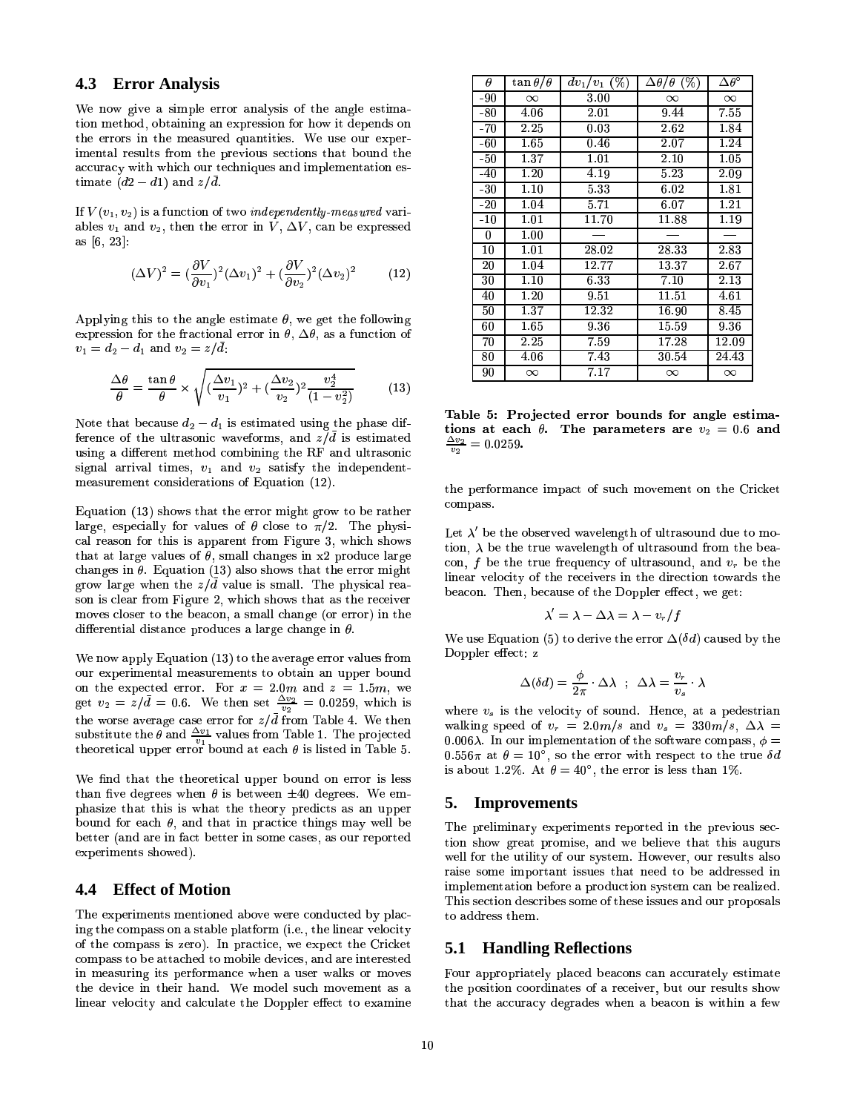#### 4.3 **Error Analysis**

We now give a simple error analysis of the angle estimation method, obtaining an expression for how it depends on the errors in the measured quantities. We use our experimental results from the previous sections that bound the accuracy with which our techniques and implementation estimate  $(d2 - d1)$  and  $z/d$ .

If  $V(v_1, v_2)$  is a function of two *independently-measured* variables  $v_1$  and  $v_2$ , then the error in V,  $\Delta V$ , can be expressed as [6, 23]:

$$
(\Delta V)^2 = (\frac{\partial V}{\partial v_1})^2 (\Delta v_1)^2 + (\frac{\partial V}{\partial v_2})^2 (\Delta v_2)^2 \tag{12}
$$

Applying this to the angle estimate  $\theta$ , we get the following expression for the fractional error in  $\theta$ ,  $\Delta\theta$ , as a function of  $v_1 = d_2 - d_1$  and  $v_2 = z/d$ .

$$
\frac{\Delta\theta}{\theta} = \frac{\tan\theta}{\theta} \times \sqrt{(\frac{\Delta v_1}{v_1})^2 + (\frac{\Delta v_2}{v_2})^2 \frac{v_2^4}{(1 - v_2^2)}}\tag{13}
$$

Note that because  $d_2 - d_1$  is estimated using the phase difference of the ultrasonic waveforms, and  $z/\bar{d}$  is estimated using a different method combining the RF and ultrasonic signal arrival times,  $v_1$  and  $v_2$  satisfy the independentmeasurement considerations of Equation (12).

Equation (13) shows that the error might grow to be rather large, especially for values of  $\theta$  close to  $\pi/2$ . The physical reason for this is apparent from Figure 3, which shows that at large values of  $\theta$ , small changes in x2 produce large changes in  $\theta$ . Equation (13) also shows that the error might grow large when the  $z/\bar{d}$  value is small. The physical reason is clear from Figure 2, which shows that as the receiver moves closer to the beacon, a small change (or error) in the differential distance produces a large change in  $\theta$ .

We now apply Equation (13) to the average error values from our experimental measurements to obtain an upper bound on the expected error. For  $x = 2.0m$  and  $z = 1.5m$ , we get  $v_2 = z/\bar{d} = 0.6$ . We then set  $\frac{\Delta v_2}{v_2} = 0.0259$ , which is the worse average case error for  $z/\bar{d}$  from Table 4. We then<br>substitute the  $\theta$  and  $\frac{\Delta v_1}{v_1}$  values from Table 1. The projected<br>theoretical upper error bound at each  $\theta$  is listed in Table 5.

We find that the theoretical upper bound on error is less than five degrees when  $\theta$  is between  $\pm 40$  degrees. We emphasize that this is what the theory predicts as an upper bound for each  $\theta$ , and that in practice things may well be better (and are in fact better in some cases, as our reported experiments showed).

#### 4.4 **Effect of Motion**

The experiments mentioned above were conducted by placing the compass on a stable platform (i.e., the linear velocity of the compass is zero). In practice, we expect the Cricket compass to be attached to mobile devices, and are interested in measuring its performance when a user walks or moves the device in their hand. We model such movement as a linear velocity and calculate the Doppler effect to examine

| θ     | $\tan\theta/\theta$ | $(\%)$<br>$dv_1/v_1$ | $\Delta\theta/\theta$ (%) | $\Delta \overline{\theta^\circ}$ |
|-------|---------------------|----------------------|---------------------------|----------------------------------|
| $-90$ | $\infty$            | $3.00\,$             | $\infty$                  | $\infty$                         |
| $-80$ | 4.06                | 2.01                 | 9.44                      | 7.55                             |
| $-70$ | 2.25                | 0.03                 | 2.62                      | 1.84                             |
| $-60$ | 1.65                | 0.46                 | 2.07                      | 1.24                             |
| $-50$ | 1.37                | 1.01                 | 2.10                      | 1.05                             |
| -40   | 1.20                | 4.19                 | 5.23                      | 2.09                             |
| -30   | 1.10                | 5.33                 | 6.02                      | 1.81                             |
| $-20$ | 1.04                | 5.71                 | 6.07                      | 1.21                             |
| $-10$ | 1.01                | 11.70                | 11.88                     | 1.19                             |
| 0     | 1.00                |                      |                           |                                  |
| 10    | 1.01                | 28.02                | 28.33                     | 2.83                             |
| 20    | 1.04                | 12.77                | 13.37                     | $2.67\,$                         |
| 30    | 1.10                | 6.33                 | 7.10                      | 2.13                             |
| 40    | 1.20                | 9.51                 | 11.51                     | 4.61                             |
| 50    | 1.37                | 12.32                | 16.90                     | 8.45                             |
| 60    | 1.65                | 9.36                 | 15.59                     | 9.36                             |
| 70    | 2.25                | 759                  | 17.28                     | 12.09                            |
| 80    | 4.06                | 7.43                 | 30.54                     | 24.43                            |
| 90    | $\infty$            | 7.17                 | $\infty$                  | $\infty$                         |

Table 5: Projected error bounds for angle estimations at each  $\theta$ . The parameters are  $v_2 = 0.6$  and  $\frac{\Delta v_2}{\Delta v_1} = 0.0259$ .

the performance impact of such movement on the Cricket compass.

Let  $\lambda'$  be the observed wavelength of ultrasound due to motion,  $\lambda$  be the true wavelength of ultrasound from the beacon, f be the true frequency of ultrasound, and  $v_r$  be the linear velocity of the receivers in the direction towards the beacon. Then, because of the Doppler effect, we get:

$$
\lambda'=\lambda-\Delta\lambda=\lambda-v_r/f
$$

We use Equation (5) to derive the error  $\Delta(\delta d)$  caused by the Doppler effect: z

$$
\Delta (\delta d) = \frac{\phi}{2\pi} \cdot \Delta \lambda \;\; ; \;\; \Delta \lambda = \frac{v_r}{v_s} \cdot \lambda
$$

where  $v_s$  is the velocity of sound. Hence, at a pedestrian walking speed of  $v_r = 2.0m/s$  and  $v_s = 330m/s$ ,  $\Delta \lambda$  = 0.006 $\lambda$ . In our implementation of the software compass,  $\phi =$  $0.556\pi$  at  $\theta = 10^{\circ}$ , so the error with respect to the true  $\delta d$ is about 1.2%. At  $\theta = 40^{\circ}$ , the error is less than 1%.

#### 5. **Improvements**

The preliminary experiments reported in the previous section show great promise, and we believe that this augurs well for the utility of our system. However, our results also raise some important issues that need to be addressed in implementation before a production system can be realized. This section describes some of these issues and our proposals to address them.

### **5.1 Handling Reflections**

Four appropriately placed beacons can accurately estimate the position coordinates of a receiver, but our results show that the accuracy degrades when a beacon is within a few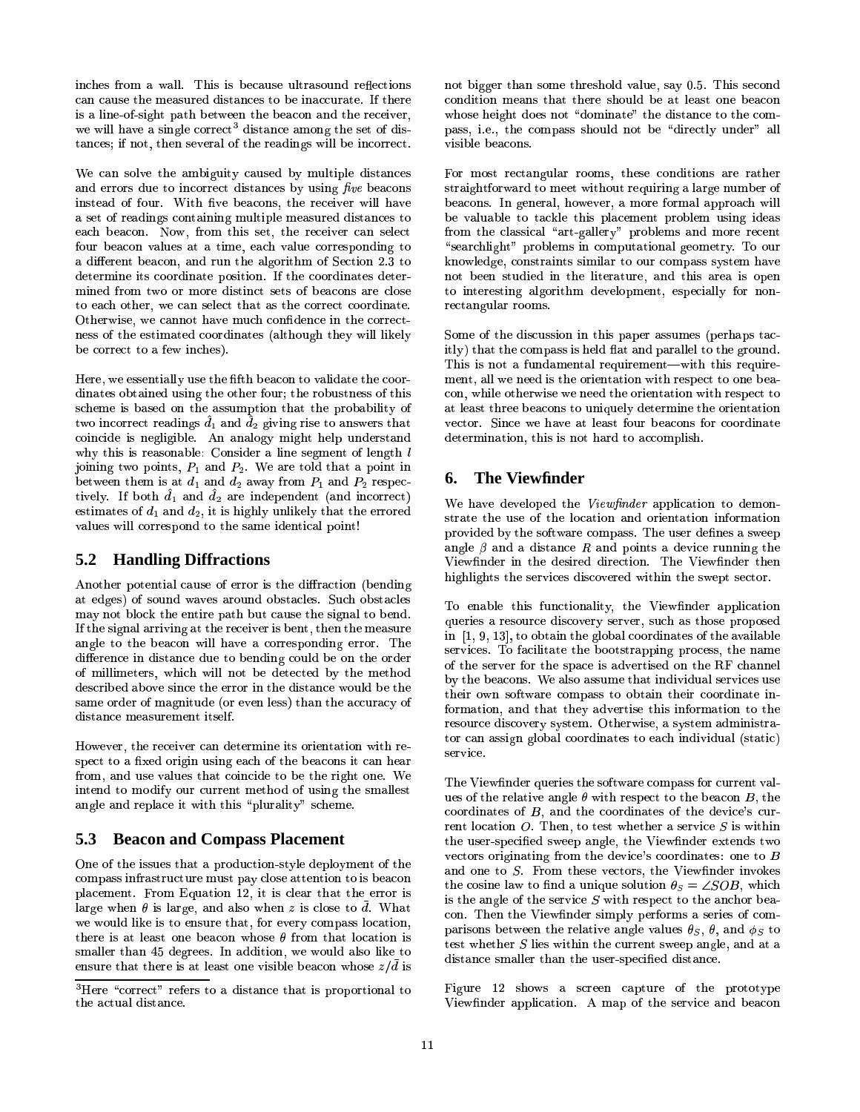inches from a wall. This is because ultrasound reflections can cause the measured distances to be inaccurate. If there is a line-of-sight path between the beacon and the receiver.  $\hspace{0.1em}$ we will have a single correct<sup>3</sup> distance among the set of distances; if not, then several of the readings will be incorrect.

We can solve the ambiguity caused by multiple distances  $\overline{B}$ and errors due to incorrect distances by using  $\mathit{five}$  beacons sti instead of four. With five beacons, the receiver will have  $\alpha$  bet of foodings containing maturities measured anotherwise to  $\cdots$ Ç WF^
K'<8h:S\TFOZ0:0?@^>8J]3:+A':\*AG=@MN8n8h:S\L7Z0:0?@^98l\JF0KaKG8T]a`F0OH9=@O9iAGF  $\sim$  B)  $\sim$  South  $\sim$  South  $\sim$  South  $\sim$  South  $\sim$  South  $\sim$  South  $\sim$  South  $\sim$  South  $\sim$  South  $\sim$  South  $\sim$  South  $\sim$  South  $\sim$  South  $\sim$  South  $\sim$  South  $\sim$  South  $\sim$  South  $\sim$  South  $\sim$  South  $\sim$ a different beacon, and run the algorithm of Section 2.3 to determine its coordinate position. If the coordinates determined from two or more distinct sets of beacons are close to each other, we can select that as the correct coordinate. Otherwise, we cannot have much confidence in the correct <8\JF0KaKG8T\JAAGFN:W\_8Jg =@O>\(7>8T](¼Lj be correct to a few inches).

Here, we essentially use the fifth beacon to validate the coordinates obtained using the other four; the robustness of this  $\mathcal{W}$ two incorrect readings  $\hat{d}_1$  and  $\hat{d}_2$  giving rise to answers that  $\frac{1}{2}$  $\frac{1}{2}$  and is reasonable. Sometet a nic sognitude of rengen  $\ell$ joining two points,  $P_1$  and  $P_2$ . We are told that a point in  $D\cup U$  - and  $D\cup U$  and  $D\cup U$  and  $D\cup U$  and  $D\cup U$  and  $D\cup U$  and  $D\cup U$ tively. If both  $d_1$  and  $d_2$  are independent (and incorrect) Z0:0?@^98T]g=P?@?-\TF0KaKG8T]a`F0OHAGFqAG7>8]G:SMN8=H
8TOUAG=@\h:0?5`F=@OUA values will correspond to the same identical point!

# **5.2 Handling Diffractions**

Another potential cause of error is the diffraction (bending at edges) of sound waves around obstacles. Such obstacles may not block the entire path but cause the signal to bend. If the signal arriving at the receiver is bent, then the measure angle to the beacon will have a corresponding error. The difference in distance due to bending could be on the order of millimeters, which will not be detected by the method described above since the error in the distance would be the wano oraer or massimaac ior et distance measurement itself.

8. 8 J\J ABAGE TO AGART'I A SHART YA SHARTI A SHARTI A SHARTI A SHARTI A SHARTI A SHARTI A SHARTI A SHARTI A S  $S_{\rm PCC6}$  to a fixed origin using each or the beacons to earlierar from, and use values that coincide to be the right one. We  $\max\limits_{\mathbf{a}}$  , and  $\max\limits_{\mathbf{a}}$  and  $\max\limits_{\mathbf{a}}$  and  $\max\limits_{\mathbf{a}}$ angle and replace it with this "plurality" scheme.

# **5.3 Beacon and Compass Placement**

 $\Omega$  of the issues that a production-style deployment of th `9?P:0\T8TMN8JO[Ahj KGF0M ¶,ÊU^>:SAG=@FOQ¥h[n=BA=@]q\J?P8T:SKAG7:SAAG798N8JKaKGF0K=@] placement. From Equation 12, it is clear that the error is  $\frac{1}{10}$  $\frac{1}{2}\frac{1}{2}\frac{1}{2}\frac{1}{2}\frac{1}{2}\frac{1}{2}\frac{1}{2}\frac{1}{2}\frac{1}{2}\frac{1}{2}\frac{1}{2}\frac{1}{2}\frac{1}{2}\frac{1}{2}\frac{1}{2}\frac{1}{2}\frac{1}{2}\frac{1}{2}\frac{1}{2}\frac{1}{2}\frac{1}{2}\frac{1}{2}\frac{1}{2}\frac{1}{2}\frac{1}{2}\frac{1}{2}\frac{1}{2}\frac{1}{2}\frac{1}{2}\frac{1}{2}\frac{1}{2}\frac{1}{2}\frac{1}{2}\frac{1}{2}\frac{1}{2}\frac{1}{2}\frac{1$ we would like is to ensure that, for every compass location, there is at least one beacon whose  $\theta$  from that location is  $\mathcal{S}$  and  $\mathcal{S}$  and  $\mathcal{S}$  are  $\mathcal{S}$  . The detection of  $\mathcal{S}$  and  $\mathcal{S}$  are  $\mathcal{S}$ ensure that there is at least one visible beacon whose  $z/\bar{d}$  is

not bigger than some threshold value, say 0.5. This second condition means that there should be at least one beacon `:S]a]Tn=³j 8j@nAG7>8\TFMN`>:0]a]']a79F^>?PHO>FSAb<8QH
=BKG8T\JAG?BC^>OH
8JKG£:0?@? Z[=@]a=P<9?@8<8h:0\TF0O>]Tj visible beacons.

ALION (CORS) COLIDILAGILID DILLIAMI TO OAL COLIDWOO D'IDTOLLE LEWI  $\mathbf u$ vv svou pvuurva hr vuo hyvravurvi vuu vuon viva hy vivar rectangular rooms. For most rectangular rooms, these conditions are rather <8h:S\TFO9]TjDOi8JO>8JK(:S?vn-7>Fhg#8TZp8JKhn5:bMNF0KG8W\_FSKGMb:0?":0`9`9KGF:0\(7g=@?@?<8Z:S?@^:0<9?@8AGFcA(:S\Lo[?@8AG7>=@]l`>?P:0\T8JMN8TOUA`
KGF<9?P8JM ^9]a=PO9i=PH98h:S]  $\sim$  . A group to the state and  $\sim$  and  $\sim$   $\sim$   $\sim$   $\sim$   $\sim$ from the classical "art-gallery" problems and more recent "searchlight" problems in computational geometry. To our  $\sim$  . The second contract  $\sim$ 

 $\pm$  2 MM stock as a set of the production  $\pm$  and  $\pm$  and  $\pm$  and  $\pm$  and  $\pm$  $1$  vvvvi – bilivo – no litero de Todos loti – bodovilo lot determination, this is not hard to accomplish. =BAG?BC¼-AG7>:SAAG798\TF0MN`:0]a]=@]798T?PH :+A%:0O>H`>:SK(:0?@?@8T?
AGF2AG7>8,i0KGF0^>OH)j itly) that the compass is held flat and parallel to the ground.  $\bf m$ yn wn ho noog is the shontweed hith respect to she sew con, while otherwise we need the orientation with respect to at least three beacons to uniquely determine the orientation

# **6. The Viewfinder**

highlights the services discovered within the swept sector. We have developed the  $View$ finder application to demonstrate the use of the location and orientation information provided by the software compass. The user defines a sweep ¡ =@8Jg>OH
8JKN=@OAG798\*H98J]a=@KG8THQH9=BKG8T\LAG=PF0O-jQ67>8\*¡2=@8JgO>H98JK'AG798TO Viewfinder in the desired direction. The Viewfinder then

queries a resource discovery server, such as those proposed in  $\Box$  9. 13. to obtain the global coordinates of the available of the server for the space is advertised on the RF channel their own software compass to obtain their coordinate intor can as service. To enable this functionality, the Viewfinder application  $\frac{1}{2}$  and  $\frac{1}{2}$  are  $\frac{1}{2}$  and  $\frac{1}{2}$  and  $\frac{1}{2}$  are  $\frac{1}{2}$  and  $\frac{1}{2}$  and  $\frac{1}{2}$  and  $\frac{1}{2}$  and  $\frac{1}{2}$  and  $\frac{1}{2}$  and  $\frac{1}{2}$  and  $\frac{1}{2}$  and  $\frac{1}{2}$  and  $\frac{1}{2}$  and  $\frac{1}{2}$  a by the beacons. We also assume that individual services use  $\cdots$  and  $\cdots$  and  $\cdots$  are  $\cdots$  as  $\cdots$  and  $\cdots$  and  $\cdots$  are  $\cdots$ resource discovery system. Otherwise, a system administra

The Viewfinder queries the software compass for current valvectors originating from the device's coordinates: one to  $B$ and one to  $S$ . From these vectors, the Viewfinder invokes test whether  $S$  lies within the current sweep angle. ues of the relative angle  $\theta$  with respect to the beacon B, the nuach an am ag an ag an ag an ag an ag an an an an an an an ag an ag an ag an ag an ag an ag an ag an ag an ag  $\mathbf{1}$   $\mathbf{3}$   $\mathbf{1}$   $\mathbf{4}$   $\mathbf{5}$   $\mathbf{6}$   $\mathbf{7}$   $\mathbf{8}$   $\mathbf{9}$   $\mathbf{10}$   $\mathbf{10}$   $\mathbf{10}$   $\mathbf{10}$   $\mathbf{10}$   $\mathbf{10}$   $\mathbf{10}$   $\mathbf{10}$   $\mathbf{10}$   $\mathbf{10}$   $\mathbf{10}$   $\mathbf{10}$   $\mathbf{10}$   $\mathbf{10}$  Zp8T\LAGF0KG]F0KG=@i=@O:+AG=@O>ibWKGFMVAG798qH
8TZ[=@\T8· ]2\JFUF0K(H9=@O>:SAG8T]-F0O>8AGF:X  $\frac{1}{2}$  . The state and the state of the state of  $\frac{1}{2}$  . The state of  $\frac{1}{2}$ \TF0O-j67>8JO\*AG7>8¡ =@8Jg>OH98LK ]a=@MN`>?BC`8JKaW\_FSKGMN]:']a8JKG=@8T] F0W%\TFM'e `:+KG=@]aFO>]2<8JADg#8T8TO\*AG798KG8J?:+AG=@Zp83:SO>i0?P8Z0:0?@^>8T] W
-nW[n):0O>H
4AGF  $\mathcal{L}$  as a graph  $\mathcal{L}$  and  $\mathcal{L}$  and  $\mathcal{L}$  and  $\mathcal{L}$  and  $\mathcal{L}$  and  $\mathcal{L}$  and  $\mathcal{L}$  and  $\mathcal{L}$ 

Figure 12 shows a screen capture of the prototype Viewfinder application. A map of the service and beacon

 $\mathbb{R}^n$  and  $\mathbb{R}^n$  agreements the properties of the properties of the properties of the properties of the properties of the properties of the properties of the properties of the properties of the properties of the p AG798:0\JAG^>:0?-H9=@]A(:0O9\T8j the actual distance.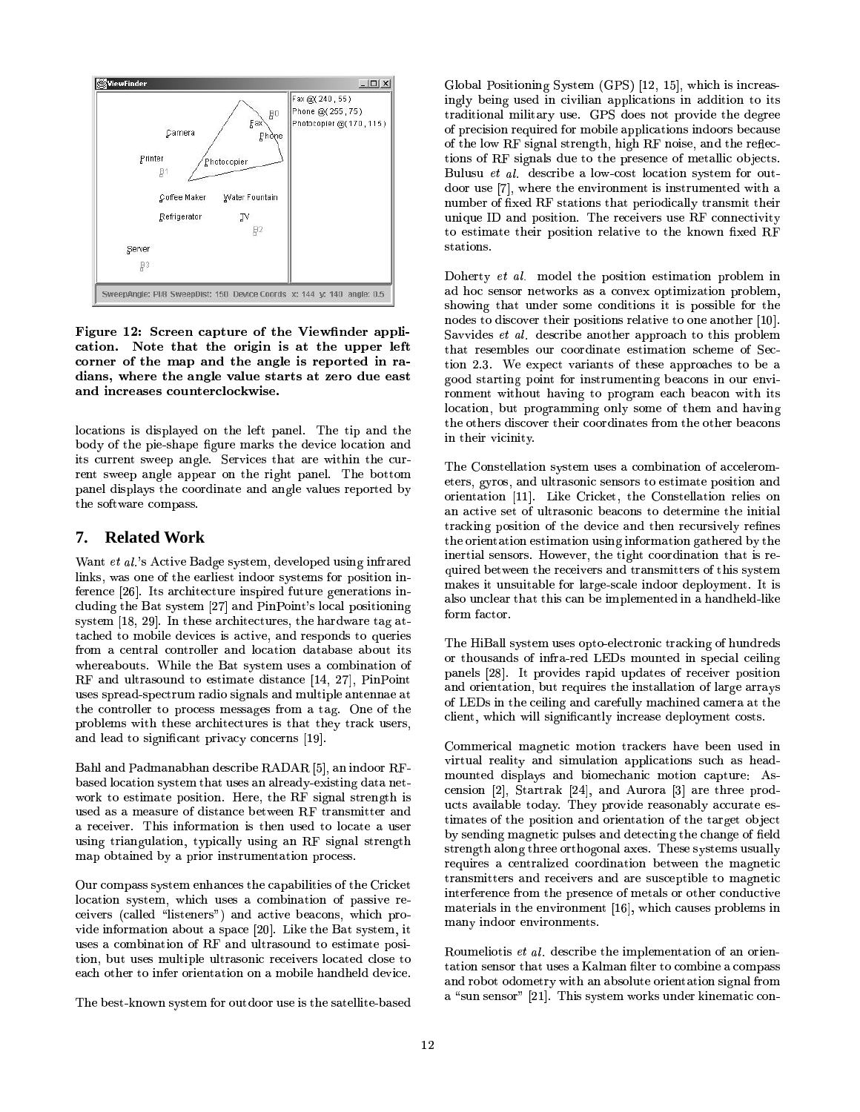

Figure 12: Screen capture of the Viewfinder application. Note that the origin is at the upper left corner of the map and the angle is reported in radians, where the angle value starts at zero due east and increases counterclockwise.

locations is displayed on the left panel. The tip and the body of the pie-shape figure marks the device location and its current sweep angle. Services that are within the current sweep angle appear on the right panel. The bottom panel displays the coordinate and angle values reported by the software compass.

#### **Related Work** 7.

Want et al.'s Active Badge system, developed using infrared links, was one of the earliest indoor systems for position inference [26]. Its architecture inspired future generations including the Bat system [27] and PinPoint's local positioning system [18, 29]. In these architectures, the hardware tag attached to mobile devices is active, and responds to queries from a central controller and location database about its whereabouts. While the Bat system uses a combination of RF and ultrasound to estimate distance [14, 27], PinPoint uses spread-spectrum radio signals and multiple antennae at the controller to process messages from a tag. One of the problems with these architectures is that they track users, and lead to significant privacy concerns [19].

Bahl and Padmanabhan describe RADAR [5], an indoor RFbased location system that uses an already-existing data network to estimate position. Here, the RF signal strength is used as a measure of distance between RF transmitter and a receiver. This information is then used to locate a user using triangulation, typically using an RF signal strength map obtained by a prior instrumentation process.

Our compass system enhances the capabilities of the Cricket location system, which uses a combination of passive receivers (called "listeners") and active beacons, which provide information about a space [20]. Like the Bat system, it uses a combination of RF and ultrasound to estimate position, but uses multiple ultrasonic receivers located close to each other to infer orientation on a mobile handheld device.

The best-known system for outdoor use is the satellite-based

Global Positioning System (GPS) [12, 15], which is increasingly being used in civilian applications in addition to its traditional military use. GPS does not provide the degree of precision required for mobile applications indoors because of the low RF signal strength, high RF noise, and the reflections of RF signals due to the presence of metallic objects. Bulusu et al. describe a low-cost location system for outdoor use [7], where the environment is instrumented with a number of fixed RF stations that periodically transmit their unique ID and position. The receivers use RF connectivity to estimate their position relative to the known fixed RF stations.

Doherty et al. model the position estimation problem in ad hoc sensor networks as a convex optimization problem, showing that under some conditions it is possible for the nodes to discover their positions relative to one another [10]. Savvides et al. describe another approach to this problem that resembles our coordinate estimation scheme of Section 2.3. We expect variants of these approaches to be a good starting point for instrumenting beacons in our environment without having to program each beacon with its location, but programming only some of them and having the others discover their coordinates from the other beacons in their vicinity.

The Constellation system uses a combination of accelerometers, gyros, and ultrasonic sensors to estimate position and orientation [11]. Like Cricket, the Constellation relies on an active set of ultrasonic beacons to determine the initial tracking position of the device and then recursively refines the orientation estimation using information gathered by the inertial sensors. However, the tight coordination that is required between the receivers and transmitters of this system makes it unsuitable for large-scale indoor deployment. It is also unclear that this can be implemented in a handheld-like form factor.

The HiBall system uses opto-electronic tracking of hundreds or thousands of infra-red LEDs mounted in special ceiling panels [28]. It provides rapid updates of receiver position and orientation, but requires the installation of large arrays of LEDs in the ceiling and carefully machined camera at the client, which will significantly increase deployment costs.

Commerical magnetic motion trackers have been used in virtual reality and simulation applications such as headmounted displays and biomechanic motion capture: Ascension [2], Startrak [24], and Aurora [3] are three products available today. They provide reasonably accurate estimates of the position and orientation of the target object by sending magnetic pulses and detecting the change of field strength along three orthogonal axes. These systems usually requires a centralized coordination between the magnetic transmitters and receivers and are susceptible to magnetic interference from the presence of metals or other conductive materials in the environment [16], which causes problems in many indoor environments.

Roumeliotis et al. describe the implementation of an orientation sensor that uses a Kalman filter to combine a compass and robot odometry with an absolute orientation signal from a "sun sensor" [21]. This system works under kinematic con-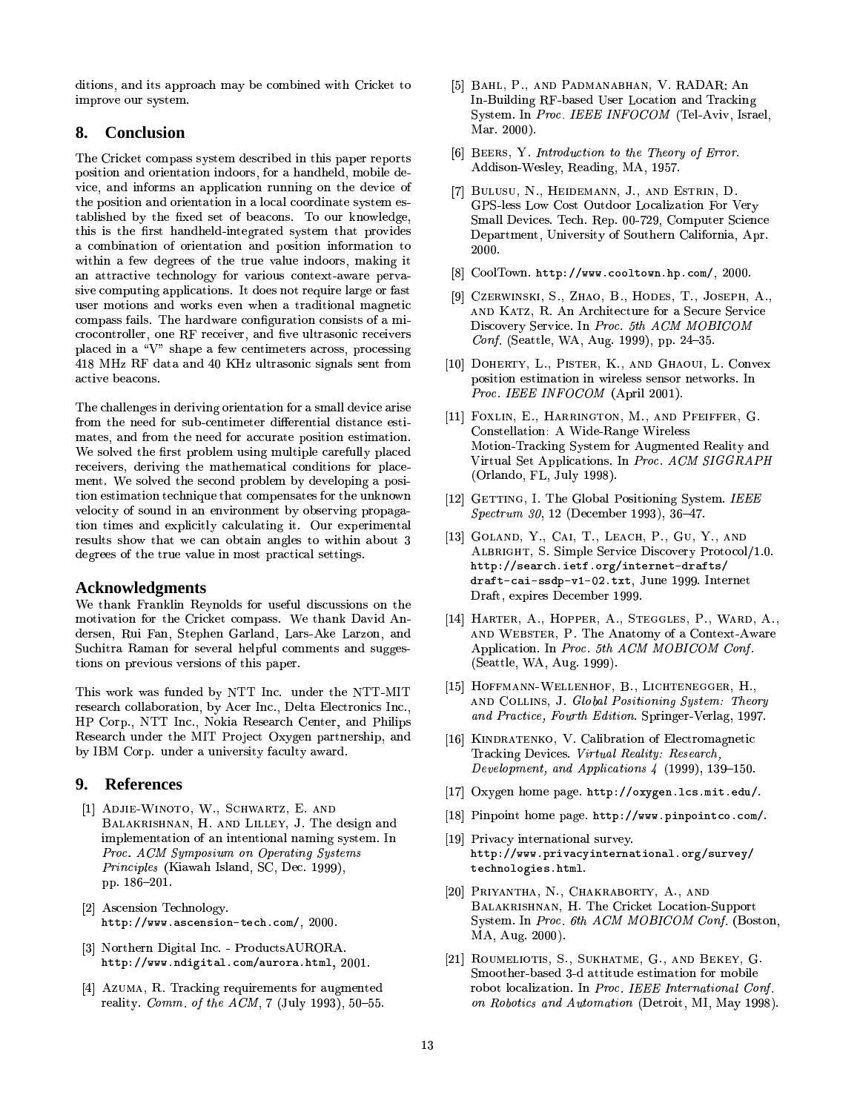anoromo, ama no aooroa improve our system.

### **8. Conclusion**

The Cricket compass system described in this paper reports position and orientation indoors, for a handheld, mobile device, and informs an application running on the device of the position and orientation in a local coordinate system eswww.cutumbest.com/cutumbest.com/cutumbest.com/cutumbest.com/cutumbest.com/  $\sim$  0.000  $\pm$  1.000 cm3. For the structure provided at  $\sim$   $\sim$   $\sim$   $\sim$ a combination of orientation and position information to within a few degrees of the true value indoors, making it an attractive technology for various context-aware pervasive computing applications. It does not require large or fast user motions and works even when a traditional magnetic  $\text{complex terms}$ . The hardweak configuration consists of a finite  $\rm crocontroller.$  one  $\rm RF$  receiver, and five ultrasonic receivers  $\mu$  and  $\mu$  is the sequence of  $\mu$  and  $\mu$  $418\rm\;MHz\;RF\;dat.$ active beacons.

The challenges in deriving orientation for a small device arise Mb:+AG8T]Tn5:0O>H4WKGF0MËAG7>8O98T8hH4W\_FSK:0\J\T^9K(:+AG8q`F0]a=@AG=@F0O£8T]AG=@Mb:+AG=PF0O-jmates, and from the need for accurate position estimation. We solved the first problem using multiple carefully placed  $\overline{\text{R}}$  $\mu$ ituri ilo bolitua vio booglia providili o Factorilis a pob tion estimation technique that compensates for the unknown AG=@F0OAG=@MN8T]q:0O>Hc8Jd
`>?@=@\T=BAG?BC\h:0?@\T^9?P:SAG=@O>iX=BAhj ^
K38Ld9`8LKG=PMN8JO[A(:S?tion times and explicitly calculating it. Our experimental  $\Gamma$ vouros show vike we van opean angres eo wrinn ac degrees of the true value in most practical settings.

#### $\bf Acknowledgments$  $\overline{\omega}$  and  $\overline{\omega}$

We thank Franklin Revnolds for usefu we thank Framhin recynoles for about discussions on the<br>motivation for the Cricket compass. We thank David Andersen. Rui Fan. Stephen Garland. Lars-Ake Larzon. and Suchitra Raman for several helpful comm tions on previous versions of this paper.

This work was funded by NTT Inc.\_under\_the NTT-MIT\_\_  $\bf{r}$  for a form form form  $\bf{r}$  . The following form  $\bf{r}$ P Corp. NTT Inc.. Nokia Research Center, and Philip Research under the MIT Project Oxygen partners by IBM Corp. under a university faculty award.

### **9. References**

- DJIE-WINOTO, W., SCHWARTZ, E. AND  $\frac{110012 \text{ WINOIO}}{110000 \text{ WINOIO}}$ ,  $\frac{1}{1000}$ ,  $\frac{1}{1000}$ ,  $\frac{1}{1000}$   $\frac{1}{1000}$ *Froc. ACM Sumposium on Operating System:* 14 z *Principles* (Kiaw pp. 186-201.
- [2] Ascension Technology.<br>http://www.ascension-tech.com/, 2000.
- $\frac{1}{2}$ http://www.ndigital.com/aurora.html, 2001.
- [4] Azuma, R. Tracking requirements for augmented  $\frac{10}{4} \frac{10}{4}$
- BAHL, P., AND PADMANABHAN, V. RADAR: An In Building RF based User Location a:  $\Gamma$  Bunding Ferrolds of Before the claim in the same set  $\Gamma$  and  $\Gamma$  and  $\Gamma$  is set that if  $\Gamma$ Mar. 2000).
- [6] BEERS, Y. Introduction to the Theory of Error. Addison-Wesley, Reading, MA, 1957.
- BULUSU, N., HEIDEMANN, J., AND ESTRIN, D. GPS-less Low Cost Outdoor Localization For Verv Small Devices. Tech. Rep. 00-729. Computer Science Department. University of So 2000.
- [8] CoolTown. http://www.cooltown.hp.com/, 2000.
- [9] Czerwinski, S., Zhao, B., Hodes, T., Joseph, A.,  $\overline{\text{S2}}$ EXWENSH;  $\overline{\text{S3}}$ ,  $\overline{\text{B4}}$  and  $\overline{\text{S3}}$ ,  $\overline{\text{S4}}$ ,  $\overline{\text{S5}}$ ,  $\overline{\text{S6}}$ ,  $\overline{\text{S7}}$ ,  $\overline{\text{S8}}$ ,  $\overline{\text{S8}}$ ,  $\overline{\text{S8}}$ ,  $\overline{\text{S8}}$ ,  $\overline{\text{S8}}$ ,  $\overline{\text{S8}}$ ,  $\overline{\text{S8}}$ ,  $\overline{\text{S8}}$ ,  $\over$  $\overline{D}$   $\overline{c}$  1  $\overline{d}$   $\overline{d}$   $\overline{d}$   $\overline{d}$   $\overline{d}$   $\overline{d}$   $\overline{d}$   $\overline{d}$   $\overline{d}$  $\mathcal{L}_{\text{1}}$   $\mathcal{L}_{\text{2}}$   $\mathcal{L}_{\text{3}}$   $\mathcal{L}_{\text{3}}$   $\mathcal{L}_{\text{4}}$   $\mathcal{L}_{\text{5}}$   $\mathcal{L}_{\text{5}}$   $\mathcal{L}_{\text{6}}$   $\mathcal{L}_{\text{7}}$   $\mathcal{L}_{\text{8}}$   $\mathcal{L}_{\text{9}}$   $\mathcal{L}_{\text{1}}$   $\mathcal{L}_{\text{2}}$   $\mathcal{L}_{\text{3}}$   $\mathcal{L}_{\text{1}}$   $\mathcal{L}_{\text{2$
- DOHERTY, L., PISTER, K., AND GHAOUL L. Convex Proc. IEEE INFOCOM (April 2001). szhuion czeninaeron in wnierożo somoor neew
- [11] FOXLIN, E., HARRINGTON, M., AND PFEIFFER, G. Constellation: A Wide-Range Wireless  $\operatorname{Motion-Tracking}$  System for  $\operatorname{Augmented}$  Reality and Virtual Set Applications. In *Proc. ACM SIC* ª -
- [12]  $G$ ETTING, I. The Global Positioning System. *IEEE* }
- $G$ OLAND, Y., CAI, T., LEACH, P., GU, Y., AND  $\frac{1}{2}$   $\frac{1}{2}$ ,  $\frac{1}{2}$ ,  $\frac{1}{2}$ ,  $\frac{1}{2}$ ,  $\frac{1}{2}$ ,  $\frac{1}{2}$ ,  $\frac{1}{2}$ ,  $\frac{1}{2}$ ,  $\frac{1}{2}$ ,  $\frac{1}{2}$ ,  $\frac{1}{2}$ ,  $\frac{1}{2}$ ,  $\frac{1}{2}$ ,  $\frac{1}{2}$ ,  $\frac{1}{2}$ ,  $\frac{1}{2}$ ,  $\frac{1}{2}$ ,  $\frac{1}{2}$ ,  $\frac{1}{2}$ ,  $\$ http://search.ietf.org/internet-drafts/ draft-cai-ssdp-v1-02.txt, June 1999. Internet Draft, expires December 1999.
- HARTER, A., HOPPER, A., STEGGLES, P., WARD, A.,  $\overline{R}$   $\overline{R}$   $\overline{R}$   $\overline{R}$   $\overline{R}$   $\overline{R}$   $\overline{R}$   $\overline{R}$   $\overline{R}$   $\overline{R}$   $\overline{R}$   $\overline{R}$   $\overline{R}$   $\overline{R}$   $\overline{R}$   $\overline{R}$   $\overline{R}$   $\overline{R}$   $\overline{R}$   $\overline{R}$   $\overline{R}$   $\overline{R}$   $\overline{R}$   $\overline{R}$   $\overline{$ Application. In Proc. 5th ACM MOBICOM Conf.
- [15] HOFFMANN-WELLENHOF, B., LICHTENEGGER, H.,  $\sum_{i=1}^{n}$   $\sum_{i=1}^{n}$   $\sum_{i=1}^{n}$   $\sum_{i=1}^{n}$   $\sum_{i=1}^{n}$   $\sum_{i=1}^{n}$   $\sum_{i=1}^{n}$   $\sum_{i=1}^{n}$   $\sum_{i=1}^{n}$   $\sum_{i=1}^{n}$   $\sum_{i=1}^{n}$   $\sum_{i=1}^{n}$   $\sum_{i=1}^{n}$   $\sum_{i=1}^{n}$   $\sum_{i=1}^{n}$   $\sum_{i=1}^{n}$   $\sum_{i=1}^{n}$  and Deating, Fourth Edition Crainse
- KINDRATENKO, V. Calibration of Electromagnetic KOMATERING, VI. SanStation of Electromagnetic racking Devices. Virtual Reality: Research.  $P_{\text{exalammon}}$  and  $\Lambda$ pplications  $\Lambda$ . (1000) 120.150
- $\frac{1}{\sqrt{2}}$  and  $\frac{1}{\sqrt{2}}$  and  $\frac{1}{\sqrt{2}}$  is the case  $\frac{1}{\sqrt{2}}$  is the case  $\frac{1}{\sqrt{2}}$
- [18] Pinpoint home page. http://www.pinpointco.com/.
- [19] Privacy international survey. http://www.privacyinternational.org/survey/
- Priyantha, N., Chakraborty, A., and  $\text{FAI-MN1IM}, \text{IN}, \text{IN}, \text{OMM1DOMI}, \text{IN}, \text{IND}$  $S$  stem. In *Proc. 6th ACM MOBICOM Conf.* (Boston, MA, Aug. 2000).
- ROUMELIOTIS, S., SUKHATME, G., AND BEKEY, G. warootaa waada o a additaac oo  $\frac{1}{2}$  and  $\frac{1}{2}$  and  $\frac{1}{2}$  and  $\frac{1}{2}$  contributed  $\frac{1}{2}$  for  $\frac{1}{2}$ .  $P_{\text{oboties and} \text{Autematic}}$  (Determined to  $\mathbb{R}$